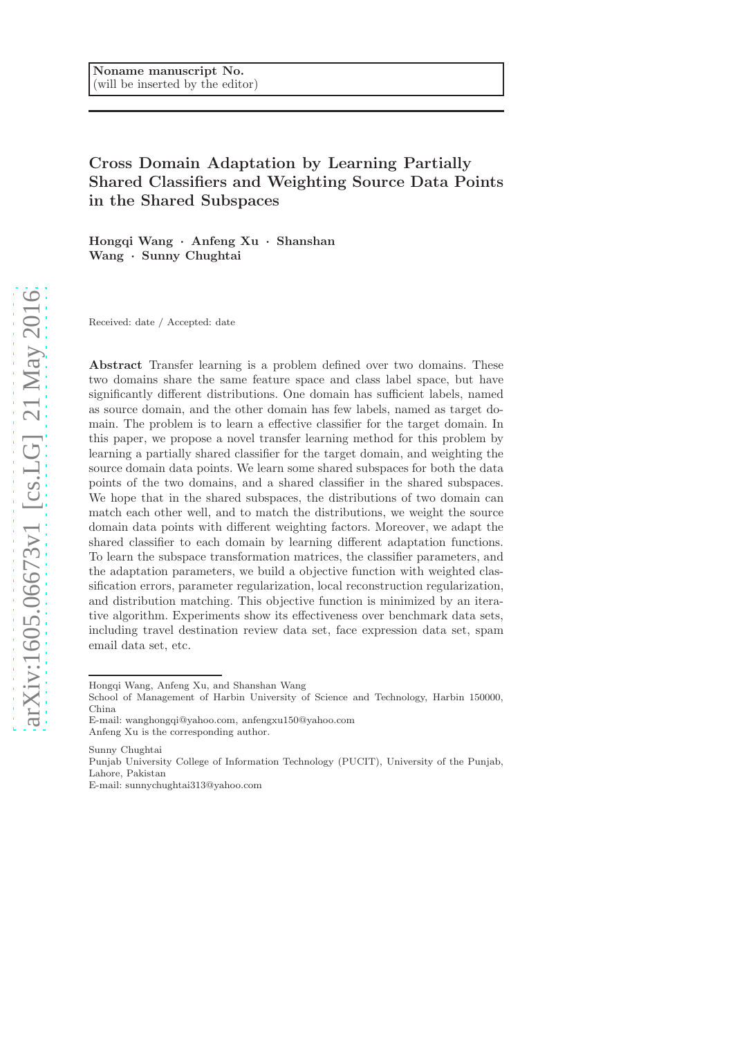# Cross Domain Adaptation by Learning Partially Shared Classifiers and Weighting Source Data Points in the Shared Subspaces

Hongqi Wang · Anfeng Xu · Shanshan Wang · Sunny Chughtai

Received: date / Accepted: date

Abstract Transfer learning is a problem defined over two domains. These two domains share the same feature space and class label space, but have significantly different distributions. One domain has sufficient labels, named as source domain, and the other domain has few labels, named as target domain. The problem is to learn a effective classifier for the target domain. In this paper, we propose a novel transfer learning method for this problem by learning a partially shared classifier for the target domain, and weighting the source domain data points. We learn some shared subspaces for both the data points of the two domains, and a shared classifier in the shared subspaces. We hope that in the shared subspaces, the distributions of two domain can match each other well, and to match the distributions, we weight the source domain data points with different weighting factors. Moreover, we adapt the shared classifier to each domain by learning different adaptation functions. To learn the subspace transformation matrices, the classifier parameters, and the adaptation parameters, we build a objective function with weighted classification errors, parameter regularization, local reconstruction regularization, and distribution matching. This objective function is minimized by an iterative algorithm. Experiments show its effectiveness over benchmark data sets, including travel destination review data set, face expression data set, spam email data set, etc.

Sunny Chughtai

Punjab University College of Information Technology (PUCIT), University of the Punjab, Lahore, Pakistan E-mail: sunnychughtai313@yahoo.com

Hongqi Wang, Anfeng Xu, and Shanshan Wang

School of Management of Harbin University of Science and Technology, Harbin 150000, China

E-mail: wanghongqi@yahoo.com, anfengxu150@yahoo.com

Anfeng Xu is the corresponding author.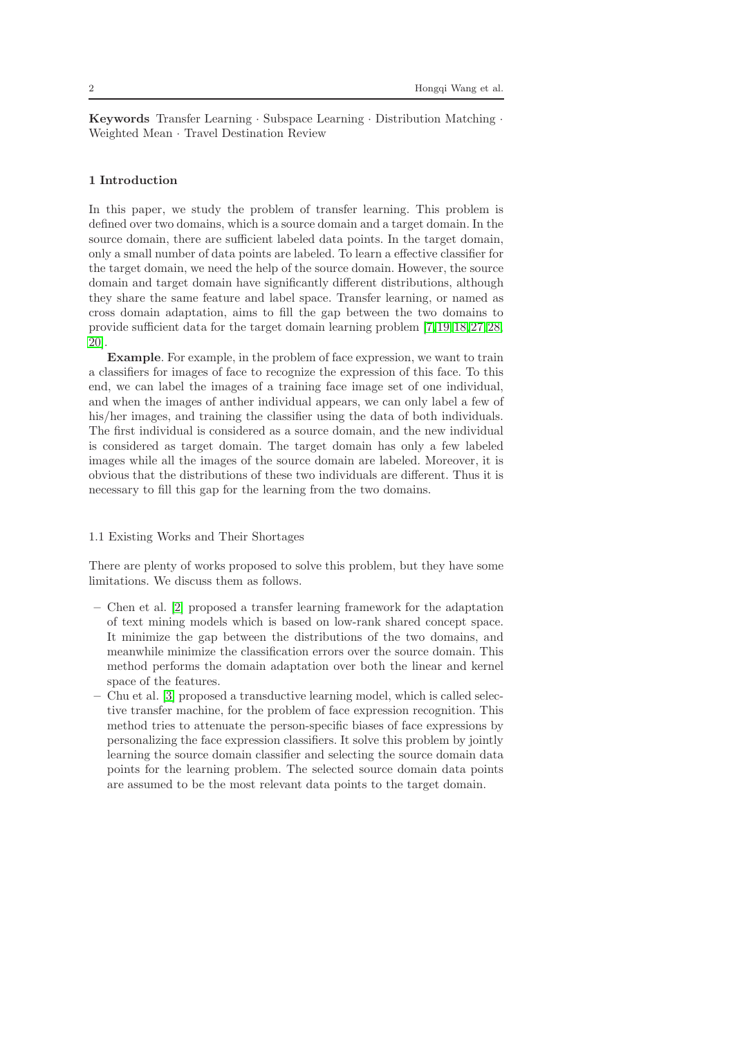Keywords Transfer Learning · Subspace Learning · Distribution Matching · Weighted Mean · Travel Destination Review

# 1 Introduction

In this paper, we study the problem of transfer learning. This problem is defined over two domains, which is a source domain and a target domain. In the source domain, there are sufficient labeled data points. In the target domain, only a small number of data points are labeled. To learn a effective classifier for the target domain, we need the help of the source domain. However, the source domain and target domain have significantly different distributions, although they share the same feature and label space. Transfer learning, or named as cross domain adaptation, aims to fill the gap between the two domains to provide sufficient data for the target domain learning problem [\[7,](#page-20-0)[19,](#page-20-1)[18,](#page-20-2)[27,](#page-21-0)[28,](#page-21-1) [20\]](#page-20-3).

Example. For example, in the problem of face expression, we want to train a classifiers for images of face to recognize the expression of this face. To this end, we can label the images of a training face image set of one individual, and when the images of anther individual appears, we can only label a few of his/her images, and training the classifier using the data of both individuals. The first individual is considered as a source domain, and the new individual is considered as target domain. The target domain has only a few labeled images while all the images of the source domain are labeled. Moreover, it is obvious that the distributions of these two individuals are different. Thus it is necessary to fill this gap for the learning from the two domains.

### <span id="page-1-0"></span>1.1 Existing Works and Their Shortages

There are plenty of works proposed to solve this problem, but they have some limitations. We discuss them as follows.

- Chen et al. [\[2\]](#page-19-0) proposed a transfer learning framework for the adaptation of text mining models which is based on low-rank shared concept space. It minimize the gap between the distributions of the two domains, and meanwhile minimize the classification errors over the source domain. This method performs the domain adaptation over both the linear and kernel space of the features.
- Chu et al. [\[3\]](#page-19-1) proposed a transductive learning model, which is called selective transfer machine, for the problem of face expression recognition. This method tries to attenuate the person-specific biases of face expressions by personalizing the face expression classifiers. It solve this problem by jointly learning the source domain classifier and selecting the source domain data points for the learning problem. The selected source domain data points are assumed to be the most relevant data points to the target domain.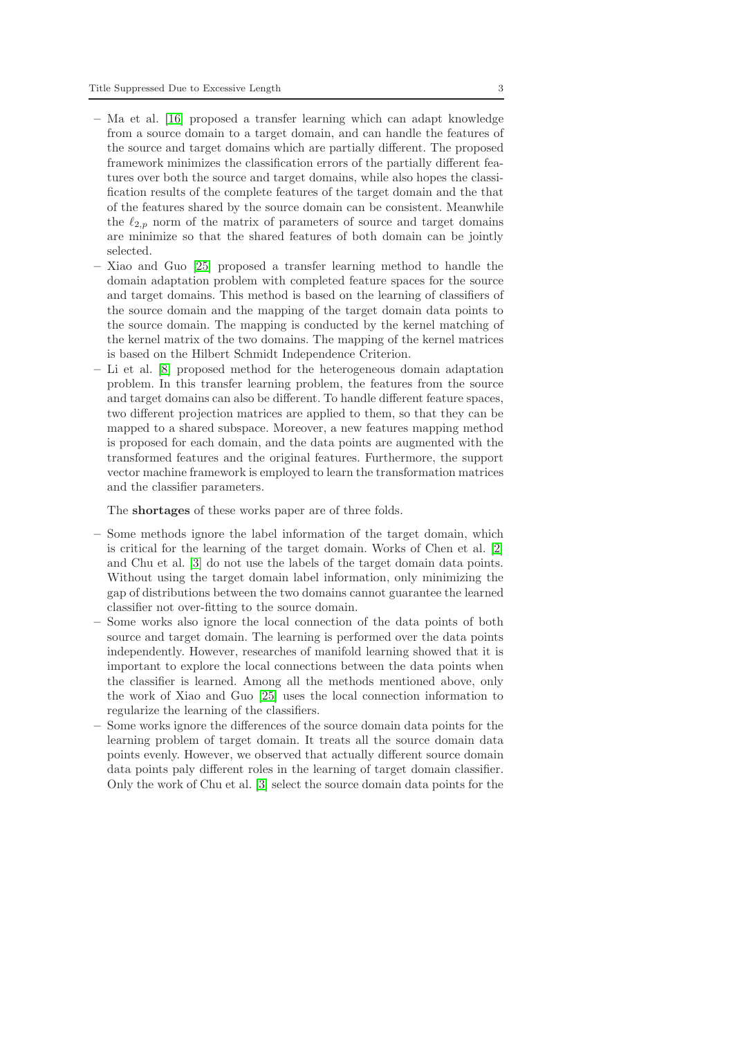- Ma et al. [\[16\]](#page-20-4) proposed a transfer learning which can adapt knowledge from a source domain to a target domain, and can handle the features of the source and target domains which are partially different. The proposed framework minimizes the classification errors of the partially different features over both the source and target domains, while also hopes the classification results of the complete features of the target domain and the that of the features shared by the source domain can be consistent. Meanwhile the  $\ell_{2,p}$  norm of the matrix of parameters of source and target domains are minimize so that the shared features of both domain can be jointly selected.
- Xiao and Guo [\[25\]](#page-20-5) proposed a transfer learning method to handle the domain adaptation problem with completed feature spaces for the source and target domains. This method is based on the learning of classifiers of the source domain and the mapping of the target domain data points to the source domain. The mapping is conducted by the kernel matching of the kernel matrix of the two domains. The mapping of the kernel matrices is based on the Hilbert Schmidt Independence Criterion.
- Li et al. [\[8\]](#page-20-6) proposed method for the heterogeneous domain adaptation problem. In this transfer learning problem, the features from the source and target domains can also be different. To handle different feature spaces, two different projection matrices are applied to them, so that they can be mapped to a shared subspace. Moreover, a new features mapping method is proposed for each domain, and the data points are augmented with the transformed features and the original features. Furthermore, the support vector machine framework is employed to learn the transformation matrices and the classifier parameters.

The shortages of these works paper are of three folds.

- Some methods ignore the label information of the target domain, which is critical for the learning of the target domain. Works of Chen et al. [\[2\]](#page-19-0) and Chu et al. [\[3\]](#page-19-1) do not use the labels of the target domain data points. Without using the target domain label information, only minimizing the gap of distributions between the two domains cannot guarantee the learned classifier not over-fitting to the source domain.
- Some works also ignore the local connection of the data points of both source and target domain. The learning is performed over the data points independently. However, researches of manifold learning showed that it is important to explore the local connections between the data points when the classifier is learned. Among all the methods mentioned above, only the work of Xiao and Guo [\[25\]](#page-20-5) uses the local connection information to regularize the learning of the classifiers.
- Some works ignore the differences of the source domain data points for the learning problem of target domain. It treats all the source domain data points evenly. However, we observed that actually different source domain data points paly different roles in the learning of target domain classifier. Only the work of Chu et al. [\[3\]](#page-19-1) select the source domain data points for the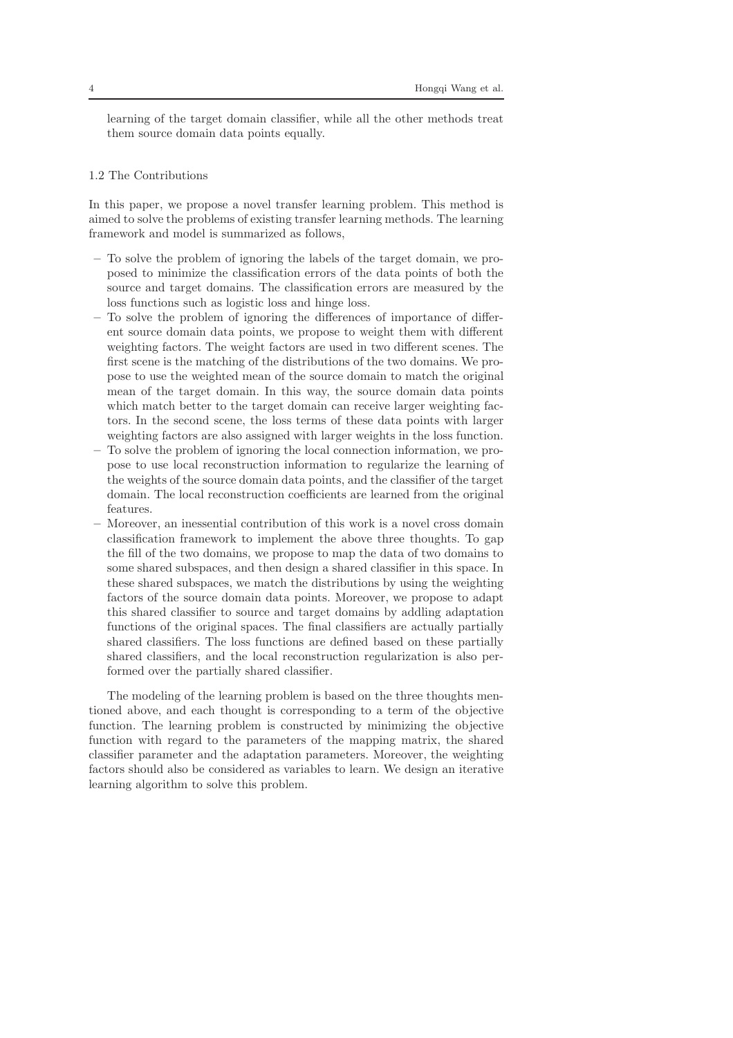learning of the target domain classifier, while all the other methods treat them source domain data points equally.

## 1.2 The Contributions

In this paper, we propose a novel transfer learning problem. This method is aimed to solve the problems of existing transfer learning methods. The learning framework and model is summarized as follows,

- To solve the problem of ignoring the labels of the target domain, we proposed to minimize the classification errors of the data points of both the source and target domains. The classification errors are measured by the loss functions such as logistic loss and hinge loss.
- To solve the problem of ignoring the differences of importance of different source domain data points, we propose to weight them with different weighting factors. The weight factors are used in two different scenes. The first scene is the matching of the distributions of the two domains. We propose to use the weighted mean of the source domain to match the original mean of the target domain. In this way, the source domain data points which match better to the target domain can receive larger weighting factors. In the second scene, the loss terms of these data points with larger weighting factors are also assigned with larger weights in the loss function.
- To solve the problem of ignoring the local connection information, we propose to use local reconstruction information to regularize the learning of the weights of the source domain data points, and the classifier of the target domain. The local reconstruction coefficients are learned from the original features.
- Moreover, an inessential contribution of this work is a novel cross domain classification framework to implement the above three thoughts. To gap the fill of the two domains, we propose to map the data of two domains to some shared subspaces, and then design a shared classifier in this space. In these shared subspaces, we match the distributions by using the weighting factors of the source domain data points. Moreover, we propose to adapt this shared classifier to source and target domains by addling adaptation functions of the original spaces. The final classifiers are actually partially shared classifiers. The loss functions are defined based on these partially shared classifiers, and the local reconstruction regularization is also performed over the partially shared classifier.

The modeling of the learning problem is based on the three thoughts mentioned above, and each thought is corresponding to a term of the objective function. The learning problem is constructed by minimizing the objective function with regard to the parameters of the mapping matrix, the shared classifier parameter and the adaptation parameters. Moreover, the weighting factors should also be considered as variables to learn. We design an iterative learning algorithm to solve this problem.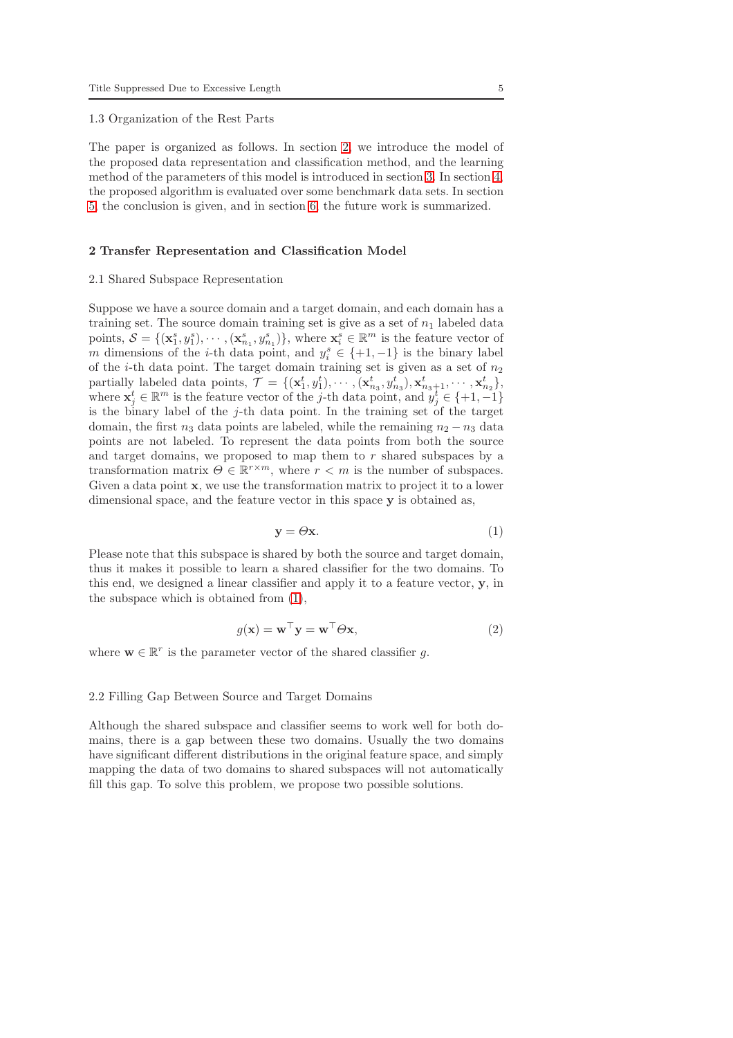#### 1.3 Organization of the Rest Parts

The paper is organized as follows. In section [2,](#page-4-0) we introduce the model of the proposed data representation and classification method, and the learning method of the parameters of this model is introduced in section [3.](#page-6-0) In section [4,](#page-15-0) the proposed algorithm is evaluated over some benchmark data sets. In section [5,](#page-18-0) the conclusion is given, and in section [6,](#page-19-2) the future work is summarized.

#### <span id="page-4-0"></span>2 Transfer Representation and Classification Model

### 2.1 Shared Subspace Representation

Suppose we have a source domain and a target domain, and each domain has a training set. The source domain training set is give as a set of  $n_1$  labeled data points,  $S = \{(\mathbf{x}_1^s, y_1^s), \cdots, (\mathbf{x}_{n_1}^s, y_{n_1}^s)\},\$  where  $\mathbf{x}_i^s \in \mathbb{R}^m$  is the feature vector of m dimensions of the *i*-th data point, and  $y_i^s \in \{+1, -1\}$  is the binary label of the *i*-th data point. The target domain training set is given as a set of  $n_2$ partially labeled data points,  $\mathcal{T} = \{(\mathbf{x}_1^t, y_1^t), \cdots, (\mathbf{x}_{n_3}^t, y_{n_3}^t), \mathbf{x}_{n_3+1}^t, \cdots, \mathbf{x}_{n_2}^t\},\$ where  $\mathbf{x}_j^t \in \mathbb{R}^m$  is the feature vector of the j-th data point, and  $y_j^t \in \{+1, -1\}$ is the binary label of the j-th data point. In the training set of the target domain, the first  $n_3$  data points are labeled, while the remaining  $n_2 - n_3$  data points are not labeled. To represent the data points from both the source and target domains, we proposed to map them to  $r$  shared subspaces by a transformation matrix  $\Theta \in \mathbb{R}^{r \times m}$ , where  $r < m$  is the number of subspaces. Given a data point **x**, we use the transformation matrix to project it to a lower dimensional space, and the feature vector in this space y is obtained as,

$$
y = \Theta x. \tag{1}
$$

<span id="page-4-1"></span>Please note that this subspace is shared by both the source and target domain, thus it makes it possible to learn a shared classifier for the two domains. To this end, we designed a linear classifier and apply it to a feature vector, y, in the subspace which is obtained from [\(1\)](#page-4-1),

$$
g(\mathbf{x}) = \mathbf{w}^{\top} \mathbf{y} = \mathbf{w}^{\top} \Theta \mathbf{x},\tag{2}
$$

where  $\mathbf{w} \in \mathbb{R}^r$  is the parameter vector of the shared classifier g.

### 2.2 Filling Gap Between Source and Target Domains

Although the shared subspace and classifier seems to work well for both domains, there is a gap between these two domains. Usually the two domains have significant different distributions in the original feature space, and simply mapping the data of two domains to shared subspaces will not automatically fill this gap. To solve this problem, we propose two possible solutions.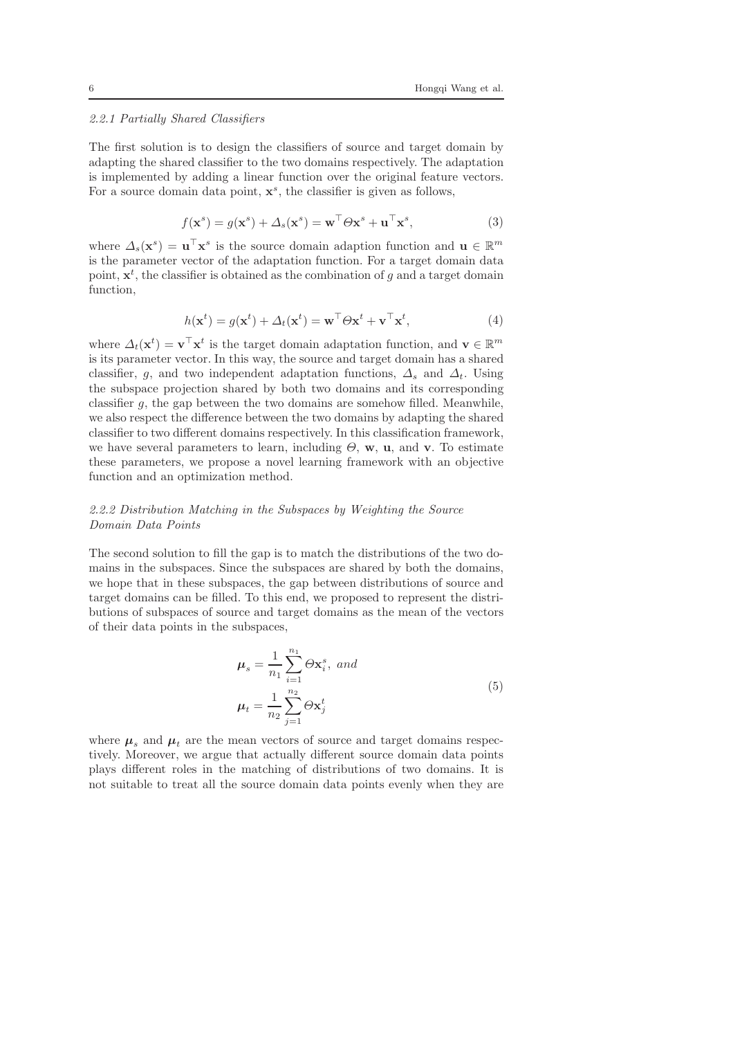# 2.2.1 Partially Shared Classifiers

The first solution is to design the classifiers of source and target domain by adapting the shared classifier to the two domains respectively. The adaptation is implemented by adding a linear function over the original feature vectors. For a source domain data point,  $x^s$ , the classifier is given as follows,

$$
f(\mathbf{x}^s) = g(\mathbf{x}^s) + \Delta_s(\mathbf{x}^s) = \mathbf{w}^\top \Theta \mathbf{x}^s + \mathbf{u}^\top \mathbf{x}^s,
$$
 (3)

where  $\Delta_s(\mathbf{x}^s) = \mathbf{u}^\top \mathbf{x}^s$  is the source domain adaption function and  $\mathbf{u} \in \mathbb{R}^m$ is the parameter vector of the adaptation function. For a target domain data point,  $x^t$ , the classifier is obtained as the combination of g and a target domain function,

$$
h(\mathbf{x}^t) = g(\mathbf{x}^t) + \Delta_t(\mathbf{x}^t) = \mathbf{w}^\top \Theta \mathbf{x}^t + \mathbf{v}^\top \mathbf{x}^t,
$$
\n(4)

where  $\Delta_t(\mathbf{x}^t) = \mathbf{v}^\top \mathbf{x}^t$  is the target domain adaptation function, and  $\mathbf{v} \in \mathbb{R}^m$ is its parameter vector. In this way, the source and target domain has a shared classifier, q, and two independent adaptation functions,  $\Delta_s$  and  $\Delta_t$ . Using the subspace projection shared by both two domains and its corresponding classifier g, the gap between the two domains are somehow filled. Meanwhile, we also respect the difference between the two domains by adapting the shared classifier to two different domains respectively. In this classification framework, we have several parameters to learn, including  $\Theta$ , **w**, **u**, and **v**. To estimate these parameters, we propose a novel learning framework with an objective function and an optimization method.

# 2.2.2 Distribution Matching in the Subspaces by Weighting the Source Domain Data Points

<span id="page-5-0"></span>The second solution to fill the gap is to match the distributions of the two domains in the subspaces. Since the subspaces are shared by both the domains, we hope that in these subspaces, the gap between distributions of source and target domains can be filled. To this end, we proposed to represent the distributions of subspaces of source and target domains as the mean of the vectors of their data points in the subspaces,

$$
\mu_s = \frac{1}{n_1} \sum_{i=1}^{n_1} \Theta \mathbf{x}_i^s, \text{ and}
$$
  

$$
\mu_t = \frac{1}{n_2} \sum_{j=1}^{n_2} \Theta \mathbf{x}_j^t
$$
 (5)

where  $\mu_s$  and  $\mu_t$  are the mean vectors of source and target domains respectively. Moreover, we argue that actually different source domain data points plays different roles in the matching of distributions of two domains. It is not suitable to treat all the source domain data points evenly when they are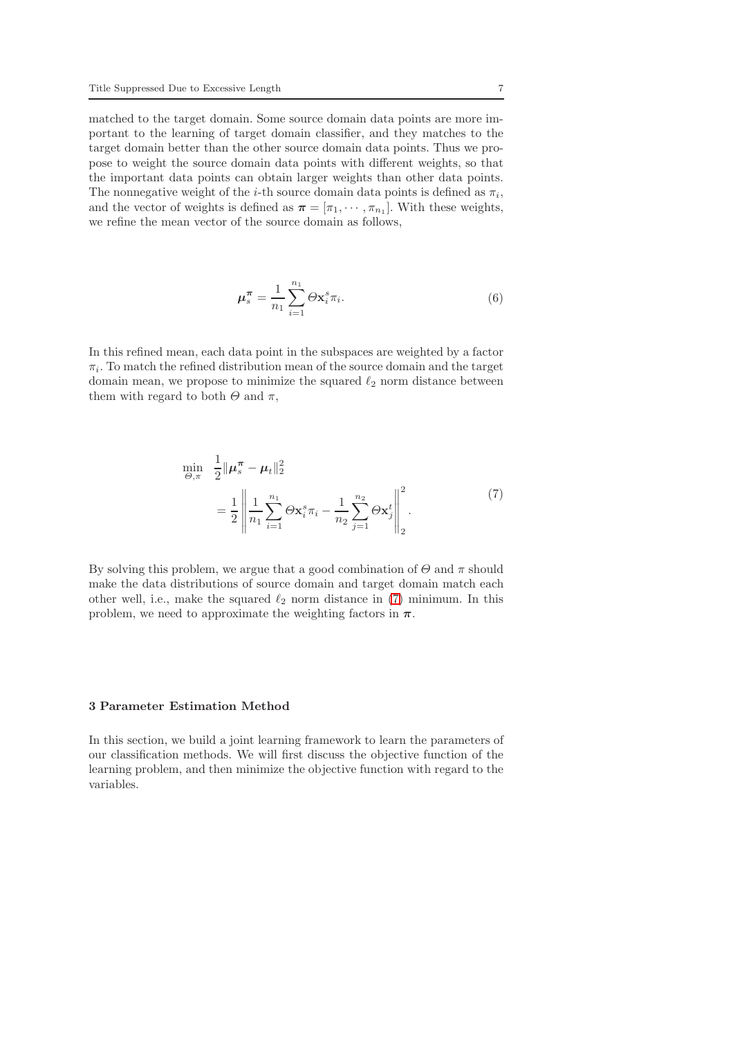matched to the target domain. Some source domain data points are more important to the learning of target domain classifier, and they matches to the target domain better than the other source domain data points. Thus we propose to weight the source domain data points with different weights, so that the important data points can obtain larger weights than other data points. The nonnegative weight of the *i*-th source domain data points is defined as  $\pi_i$ , and the vector of weights is defined as  $\boldsymbol{\pi} = [\pi_1, \cdots, \pi_{n_1}]$ . With these weights, we refine the mean vector of the source domain as follows,

$$
\mu_s^{\pi} = \frac{1}{n_1} \sum_{i=1}^{n_1} \Theta \mathbf{x}_i^s \pi_i.
$$
 (6)

<span id="page-6-1"></span>In this refined mean, each data point in the subspaces are weighted by a factor  $\pi_i$ . To match the refined distribution mean of the source domain and the target domain mean, we propose to minimize the squared  $\ell_2$  norm distance between them with regard to both  $\Theta$  and  $\pi$ ,

$$
\min_{\Theta,\pi} \quad \frac{1}{2} \|\mu_s^{\pi} - \mu_t\|_2^2
$$
\n
$$
= \frac{1}{2} \left\| \frac{1}{n_1} \sum_{i=1}^{n_1} \Theta \mathbf{x}_i^s \pi_i - \frac{1}{n_2} \sum_{j=1}^{n_2} \Theta \mathbf{x}_j^t \right\|_2^2.
$$
\n(7)

By solving this problem, we argue that a good combination of  $\Theta$  and  $\pi$  should make the data distributions of source domain and target domain match each other well, i.e., make the squared  $\ell_2$  norm distance in [\(7\)](#page-6-1) minimum. In this problem, we need to approximate the weighting factors in  $\pi$ .

### <span id="page-6-0"></span>3 Parameter Estimation Method

In this section, we build a joint learning framework to learn the parameters of our classification methods. We will first discuss the objective function of the learning problem, and then minimize the objective function with regard to the variables.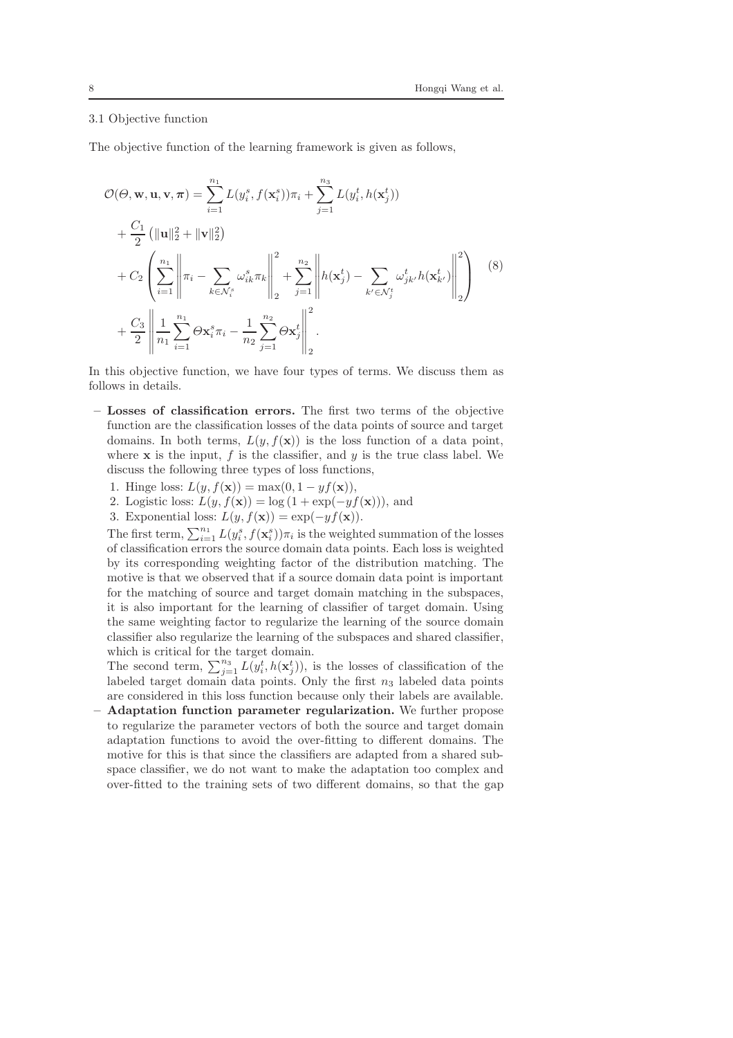## 3.1 Objective function

<span id="page-7-0"></span>The objective function of the learning framework is given as follows,

$$
\mathcal{O}(\Theta, \mathbf{w}, \mathbf{u}, \mathbf{v}, \boldsymbol{\pi}) = \sum_{i=1}^{n_1} L(y_i^s, f(\mathbf{x}_i^s)) \pi_i + \sum_{j=1}^{n_3} L(y_i^t, h(\mathbf{x}_j^t)) \n+ \frac{C_1}{2} (\|\mathbf{u}\|_2^2 + \|\mathbf{v}\|_2^2) \n+ C_2 \left( \sum_{i=1}^{n_1} \left\| \pi_i - \sum_{k \in \mathcal{N}_i^s} \omega_{ik}^s \pi_k \right\|_2^2 + \sum_{j=1}^{n_2} \left\| h(\mathbf{x}_j^t) - \sum_{k' \in \mathcal{N}_j^t} \omega_{jk'}^t h(\mathbf{x}_{k'}^t) \right\|_2^2 \right) \n+ \frac{C_3}{2} \left\| \frac{1}{n_1} \sum_{i=1}^{n_1} \Theta \mathbf{x}_i^s \pi_i - \frac{1}{n_2} \sum_{j=1}^{n_2} \Theta \mathbf{x}_j^t \right\|_2^2.
$$
\n
$$
(8)
$$

In this objective function, we have four types of terms. We discuss them as follows in details.

- Losses of classification errors. The first two terms of the objective function are the classification losses of the data points of source and target domains. In both terms,  $L(y, f(x))$  is the loss function of a data point, where  $x$  is the input,  $f$  is the classifier, and  $y$  is the true class label. We discuss the following three types of loss functions,
	- 1. Hinge loss:  $L(y, f(\mathbf{x})) = \max(0, 1 yf(\mathbf{x})),$
	- 2. Logistic loss:  $L(y, f(\mathbf{x})) = \log(1 + \exp(-yf(\mathbf{x}))),$  and
	- 3. Exponential loss:  $L(y, f(\mathbf{x})) = \exp(-yf(\mathbf{x})).$

The first term,  $\sum_{i=1}^{n_1} L(y_i^s, f(\mathbf{x}_i^s)) \pi_i$  is the weighted summation of the losses of classification errors the source domain data points. Each loss is weighted by its corresponding weighting factor of the distribution matching. The motive is that we observed that if a source domain data point is important for the matching of source and target domain matching in the subspaces, it is also important for the learning of classifier of target domain. Using the same weighting factor to regularize the learning of the source domain classifier also regularize the learning of the subspaces and shared classifier, which is critical for the target domain.

The second term,  $\sum_{j=1}^{n_3} L(y_i^t, h(\mathbf{x}_j^t))$ , is the losses of classification of the labeled target domain data points. Only the first  $n_3$  labeled data points are considered in this loss function because only their labels are available.

– Adaptation function parameter regularization. We further propose to regularize the parameter vectors of both the source and target domain adaptation functions to avoid the over-fitting to different domains. The motive for this is that since the classifiers are adapted from a shared subspace classifier, we do not want to make the adaptation too complex and over-fitted to the training sets of two different domains, so that the gap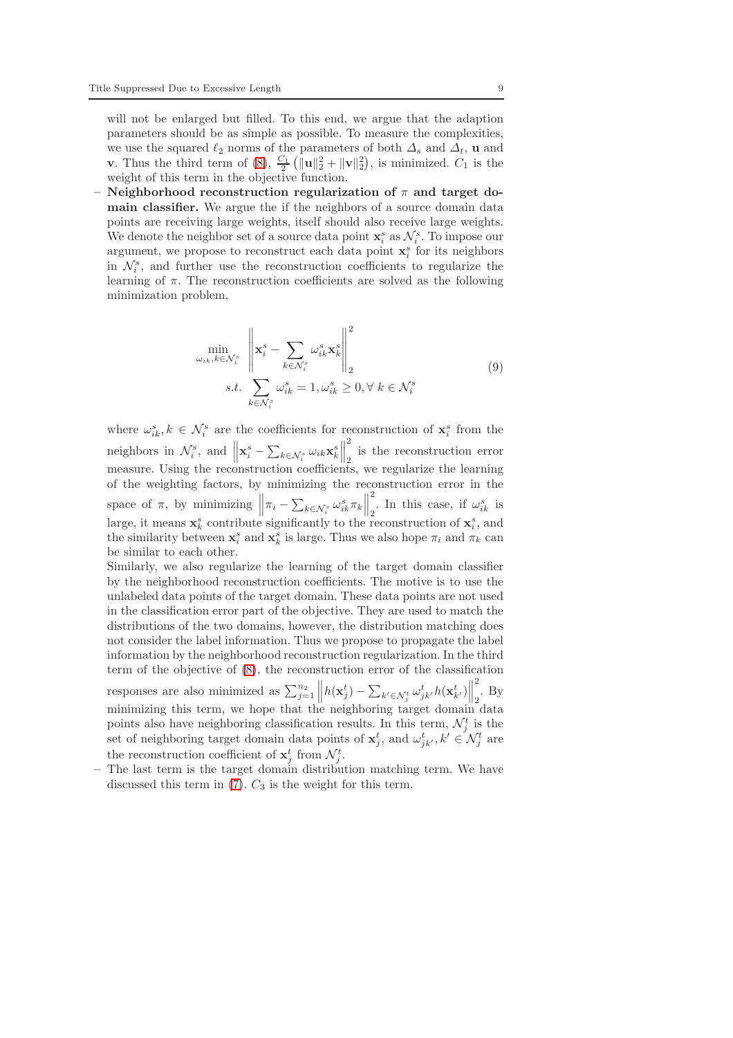will not be enlarged but filled. To this end, we argue that the adaption parameters should be as simple as possible. To measure the complexities, we use the squared  $\ell_2$  norms of the parameters of both  $\Delta_s$  and  $\Delta_t$ , u and **v**. Thus the third term of [\(8\)](#page-7-0),  $\frac{C_1}{2}$  ( $\|\mathbf{u}\|_2^2 + \|\mathbf{v}\|_2^2$ ), is minimized.  $C_1$  is the weight of this term in the objective function.

Neighborhood reconstruction regularization of  $\pi$  and target domain classifier. We argue the if the neighbors of a source domain data points are receiving large weights, itself should also receive large weights. We denote the neighbor set of a source data point  $\mathbf{x}_i^s$  as  $\mathcal{N}_i^s$ . To impose our argument, we propose to reconstruct each data point  $\mathbf{x}_i^s$  for its neighbors in  $\mathcal{N}_{i}^{s}$ , and further use the reconstruction coefficients to regularize the learning of  $\pi$ . The reconstruction coefficients are solved as the following minimization problem,

$$
\min_{\omega_{ik}, k \in \mathcal{N}_i^s} \left\| \mathbf{x}_i^s - \sum_{k \in \mathcal{N}_i^s} \omega_{ik}^s \mathbf{x}_k^s \right\|_2^2
$$
\n
$$
s.t. \sum_{k \in \mathcal{N}_i^s} \omega_{ik}^s = 1, \omega_{ik}^s \ge 0, \forall \ k \in \mathcal{N}_i^s
$$
\n(9)

where  $\omega_{ik}^s, k \in \mathcal{N}_i^s$  are the coefficients for reconstruction of  $\mathbf{x}_i^s$  from the neighbors in  $\mathcal{N}_i^s$ , and  $\left\| \mathbf{x}_i^s - \sum_{k \in \mathcal{N}_i^s} \omega_{ik} \mathbf{x}_k^s \right\|$ 2 2 is the reconstruction error measure. Using the reconstruction coefficients, we regularize the learning of the weighting factors, by minimizing the reconstruction error in the space of  $\pi$ , by minimizing  $\left\| \pi_i - \sum_{k \in \mathcal{N}_i^s} \omega_{ik}^s \pi_k \right\|$ 2 . In this case, if  $\omega_{ik}^s$  is large, it means  $\mathbf{x}_k^s$  contribute significantly to the reconstruction of  $\mathbf{x}_i^s$ , and the similarity between  $\mathbf{x}_i^s$  and  $\mathbf{x}_k^s$  is large. Thus we also hope  $\pi_i$  and  $\pi_k$  can be similar to each other.

Similarly, we also regularize the learning of the target domain classifier by the neighborhood reconstruction coefficients. The motive is to use the unlabeled data points of the target domain. These data points are not used in the classification error part of the objective. They are used to match the distributions of the two domains, however, the distribution matching does not consider the label information. Thus we propose to propagate the label information by the neighborhood reconstruction regularization. In the third term of the objective of [\(8\)](#page-7-0), the reconstruction error of the classification 2

responses are also minimized as  $\sum_{j=1}^{n_2} ||h(\mathbf{x}_j^t) - \sum_{k' \in \mathcal{N}_j^t} \omega_{jk'}^t h(\mathbf{x}_{k'}^t)||$  $\frac{1}{2}$ . By minimizing this term, we hope that the neighboring target domain data points also have neighboring classification results. In this term,  $\mathcal{N}_j^t$  is the set of neighboring target domain data points of  $\mathbf{x}_j^t$ , and  $\omega_{jk'}^t, k' \in \mathcal{N}_j^t$  are the reconstruction coefficient of  $\mathbf{x}_j^t$  from  $\mathcal{N}_j^t$ .

– The last term is the target domain distribution matching term. We have discussed this term in  $(7)$ .  $C_3$  is the weight for this term.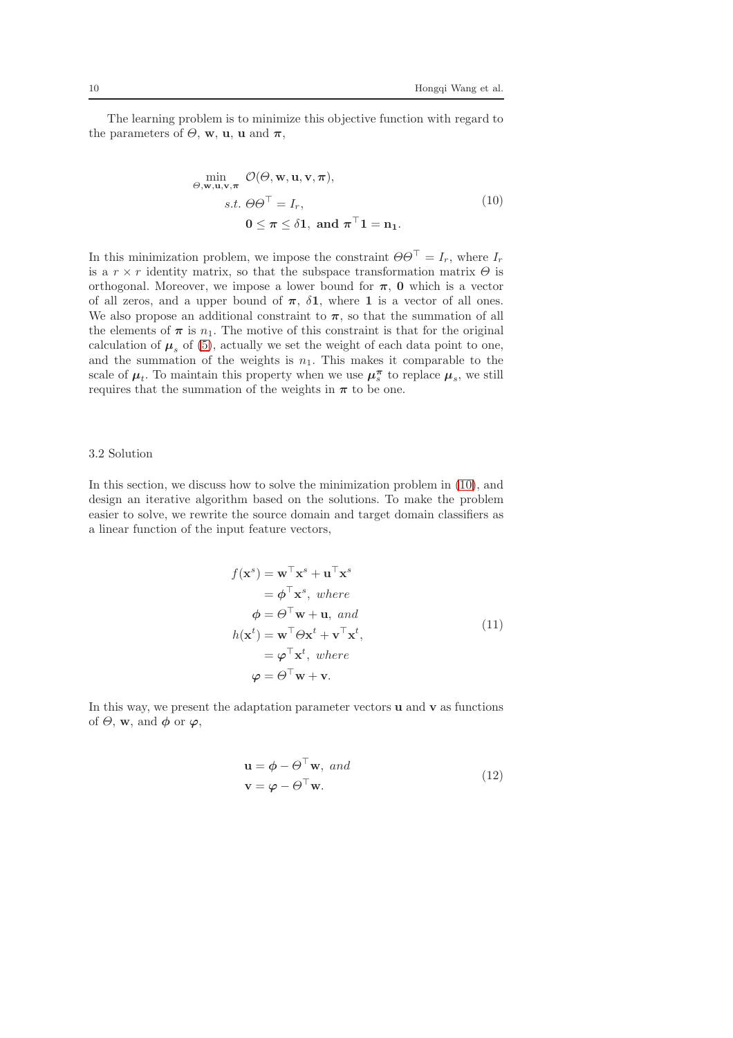<span id="page-9-0"></span>The learning problem is to minimize this objective function with regard to the parameters of  $\Theta$ , **w**, **u**, **u** and  $\pi$ ,

$$
\min_{\Theta, \mathbf{w}, \mathbf{u}, \mathbf{v}, \boldsymbol{\pi}} \mathcal{O}(\Theta, \mathbf{w}, \mathbf{u}, \mathbf{v}, \boldsymbol{\pi}),
$$
\n
$$
s.t. \Theta \Theta^{\top} = I_r,
$$
\n
$$
0 \le \pi \le \delta \mathbf{1}, \text{ and } \pi^{\top} \mathbf{1} = \mathbf{n}_1.
$$
\n(10)

In this minimization problem, we impose the constraint  $\Theta \Theta^{\top} = I_r$ , where  $I_r$ is a  $r \times r$  identity matrix, so that the subspace transformation matrix  $\Theta$  is orthogonal. Moreover, we impose a lower bound for  $\pi$ , 0 which is a vector of all zeros, and a upper bound of  $\pi$ ,  $\delta$ 1, where 1 is a vector of all ones. We also propose an additional constraint to  $\pi$ , so that the summation of all the elements of  $\pi$  is  $n_1$ . The motive of this constraint is that for the original calculation of  $\mu_s$  of [\(5\)](#page-5-0), actually we set the weight of each data point to one, and the summation of the weights is  $n_1$ . This makes it comparable to the scale of  $\mu_t$ . To maintain this property when we use  $\mu_s^{\pi}$  to replace  $\mu_s$ , we still requires that the summation of the weights in  $\pi$  to be one.

# 3.2 Solution

<span id="page-9-1"></span>In this section, we discuss how to solve the minimization problem in [\(10\)](#page-9-0), and design an iterative algorithm based on the solutions. To make the problem easier to solve, we rewrite the source domain and target domain classifiers as a linear function of the input feature vectors,

$$
f(\mathbf{x}^s) = \mathbf{w}^\top \mathbf{x}^s + \mathbf{u}^\top \mathbf{x}^s
$$
  
\n
$$
= \phi^\top \mathbf{x}^s, \text{ where}
$$
  
\n
$$
\phi = \Theta^\top \mathbf{w} + \mathbf{u}, \text{ and}
$$
  
\n
$$
h(\mathbf{x}^t) = \mathbf{w}^\top \Theta \mathbf{x}^t + \mathbf{v}^\top \mathbf{x}^t,
$$
  
\n
$$
= \boldsymbol{\varphi}^\top \mathbf{x}^t, \text{ where}
$$
  
\n
$$
\boldsymbol{\varphi} = \Theta^\top \mathbf{w} + \mathbf{v}.
$$
  
\n(11)

<span id="page-9-2"></span>In this way, we present the adaptation parameter vectors  $\bf{u}$  and  $\bf{v}$  as functions of  $\Theta$ , w, and  $\phi$  or  $\varphi$ ,

$$
\mathbf{u} = \boldsymbol{\phi} - \boldsymbol{\Theta}^{\top} \mathbf{w}, \text{ and}
$$
  

$$
\mathbf{v} = \boldsymbol{\varphi} - \boldsymbol{\Theta}^{\top} \mathbf{w}.
$$
 (12)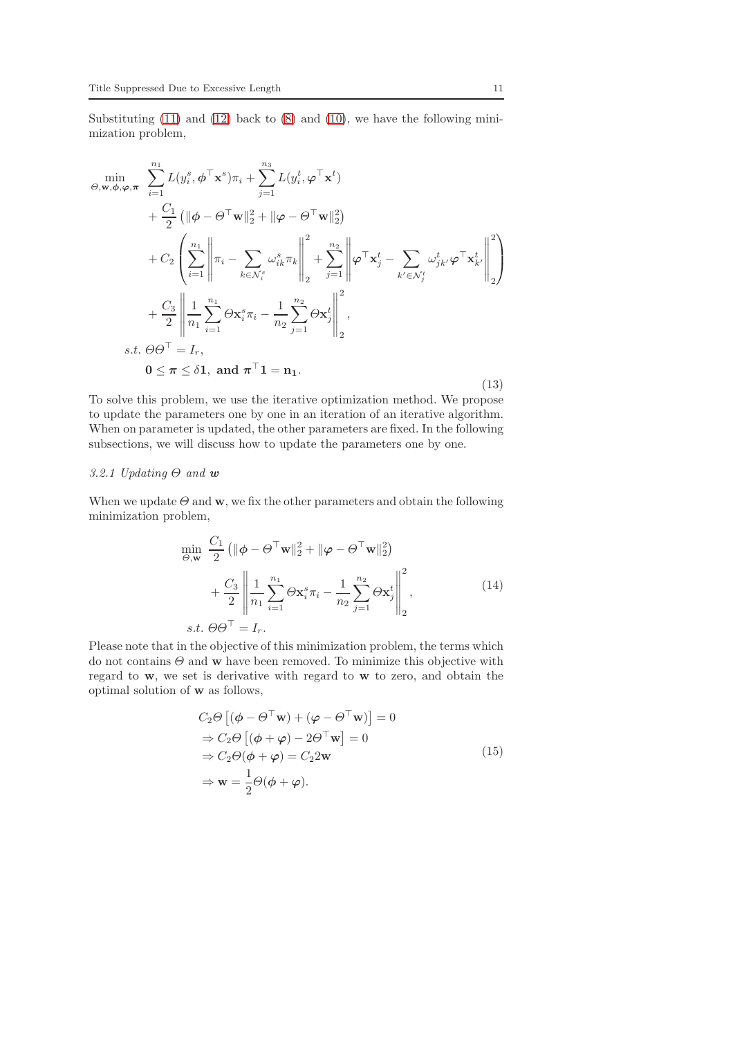<span id="page-10-1"></span>Substituting  $(11)$  and  $(12)$  back to  $(8)$  and  $(10)$ , we have the following minimization problem,

$$
\begin{split}\n&\min_{\Theta,\mathbf{w},\boldsymbol{\phi},\boldsymbol{\varphi},\boldsymbol{\pi}} \sum_{i=1}^{n_{1}} L(y_{i}^{s},\boldsymbol{\phi}^{\top}\mathbf{x}^{s})\pi_{i} + \sum_{j=1}^{n_{3}} L(y_{i}^{t},\boldsymbol{\varphi}^{\top}\mathbf{x}^{t}) \\
&+ \frac{C_{1}}{2} \left( \|\boldsymbol{\phi}-\boldsymbol{\Theta}^{\top}\mathbf{w}\|_{2}^{2} + \|\boldsymbol{\varphi}-\boldsymbol{\Theta}^{\top}\mathbf{w}\|_{2}^{2} \right) \\
&+ C_{2} \left( \sum_{i=1}^{n_{1}} \left\|\pi_{i} - \sum_{k \in \mathcal{N}_{i}^{s}} \omega_{ik}^{s}\pi_{k}\right\|_{2}^{2} + \sum_{j=1}^{n_{2}} \left\|\boldsymbol{\varphi}^{\top}\mathbf{x}_{j}^{t} - \sum_{k' \in \mathcal{N}_{j}^{t}} \omega_{jk'}^{t}\boldsymbol{\varphi}^{\top}\mathbf{x}_{k'}^{t} \right\|_{2}^{2} \right) \\
&+ \frac{C_{3}}{2} \left\|\frac{1}{n_{1}} \sum_{i=1}^{n_{1}} \Theta\mathbf{x}_{i}^{s}\pi_{i} - \frac{1}{n_{2}} \sum_{j=1}^{n_{2}} \Theta\mathbf{x}_{j}^{t} \right\|_{2}^{2}, \\
&s.t. \Theta\boldsymbol{\Theta}^{\top} = I_{r}, \\
&0 \leq \pi \leq \delta \mathbf{1}, \text{ and } \pi^{\top}\mathbf{1} = \mathbf{n}_{1}.\n\end{split} \tag{13}
$$

To solve this problem, we use the iterative optimization method. We propose to update the parameters one by one in an iteration of an iterative algorithm. When on parameter is updated, the other parameters are fixed. In the following subsections, we will discuss how to update the parameters one by one.

# 3.2.1 Updating  $\Theta$  and  $\boldsymbol{w}$

When we update  $\Theta$  and **w**, we fix the other parameters and obtain the following minimization problem,

$$
\min_{\Theta, \mathbf{w}} \frac{C_1}{2} \left( \|\boldsymbol{\phi} - \boldsymbol{\Theta}^\top \mathbf{w}\|_2^2 + \|\boldsymbol{\varphi} - \boldsymbol{\Theta}^\top \mathbf{w}\|_2^2 \right) + \frac{C_3}{2} \left\| \frac{1}{n_1} \sum_{i=1}^{n_1} \Theta \mathbf{x}_i^s \pi_i - \frac{1}{n_2} \sum_{j=1}^{n_2} \Theta \mathbf{x}_j^t \right\|_2^2, s.t. \Theta \boldsymbol{\Theta}^\top = I_r.
$$
\n(14)

<span id="page-10-0"></span>Please note that in the objective of this minimization problem, the terms which do not contains  $\Theta$  and  ${\bf w}$  have been removed. To minimize this objective with regard to w, we set is derivative with regard to w to zero, and obtain the optimal solution of w as follows,

$$
C_2 \Theta \left[ (\phi - \Theta^{\top} \mathbf{w}) + (\varphi - \Theta^{\top} \mathbf{w}) \right] = 0
$$
  
\n
$$
\Rightarrow C_2 \Theta \left[ (\phi + \varphi) - 2\Theta^{\top} \mathbf{w} \right] = 0
$$
  
\n
$$
\Rightarrow C_2 \Theta (\phi + \varphi) = C_2 2\mathbf{w}
$$
  
\n
$$
\Rightarrow \mathbf{w} = \frac{1}{2} \Theta(\phi + \varphi).
$$
\n(15)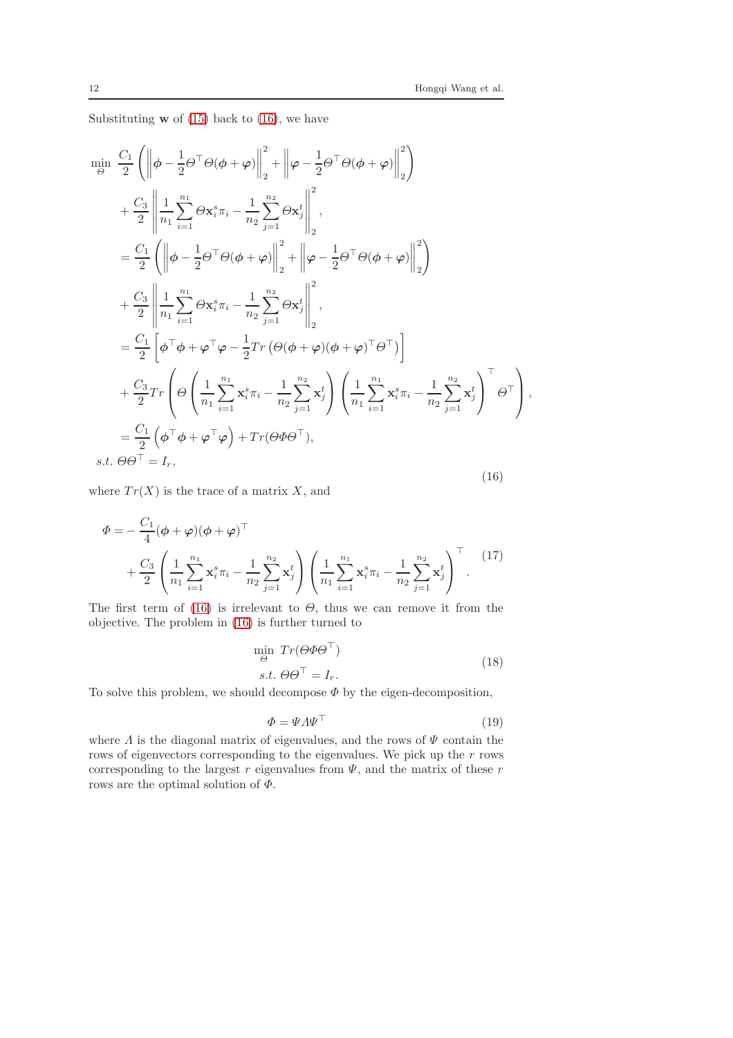<span id="page-11-0"></span>Substituting  $\bf{w}$  of [\(15\)](#page-10-0) back to [\(16\)](#page-11-0), we have

$$
\begin{split}\n&\min_{\Theta} \frac{C_1}{2} \left( \left\| \boldsymbol{\phi} - \frac{1}{2} \boldsymbol{\Theta}^\top \boldsymbol{\Theta} (\boldsymbol{\phi} + \boldsymbol{\varphi}) \right\|_2^2 + \left\| \boldsymbol{\varphi} - \frac{1}{2} \boldsymbol{\Theta}^\top \boldsymbol{\Theta} (\boldsymbol{\phi} + \boldsymbol{\varphi}) \right\|_2^2 \right) \\
&+ \frac{C_3}{2} \left\| \frac{1}{n_1} \sum_{i=1}^{n_1} \boldsymbol{\Theta} \mathbf{x}_i^s \pi_i - \frac{1}{n_2} \sum_{j=1}^{n_2} \boldsymbol{\Theta} \mathbf{x}_j^t \right\|_2^2, \\
&= \frac{C_1}{2} \left( \left\| \boldsymbol{\phi} - \frac{1}{2} \boldsymbol{\Theta}^\top \boldsymbol{\Theta} (\boldsymbol{\phi} + \boldsymbol{\varphi}) \right\|_2^2 + \left\| \boldsymbol{\varphi} - \frac{1}{2} \boldsymbol{\Theta}^\top \boldsymbol{\Theta} (\boldsymbol{\phi} + \boldsymbol{\varphi}) \right\|_2^2 \right) \\
&+ \frac{C_3}{2} \left\| \frac{1}{n_1} \sum_{i=1}^{n_1} \boldsymbol{\Theta} \mathbf{x}_i^s \pi_i - \frac{1}{n_2} \sum_{j=1}^{n_2} \boldsymbol{\Theta} \mathbf{x}_j^t \right\|_2^2, \\
&= \frac{C_1}{2} \left[ \boldsymbol{\phi}^\top \boldsymbol{\phi} + \boldsymbol{\varphi}^\top \boldsymbol{\varphi} - \frac{1}{2} Tr \left( \boldsymbol{\Theta} (\boldsymbol{\phi} + \boldsymbol{\varphi}) (\boldsymbol{\phi} + \boldsymbol{\varphi})^\top \boldsymbol{\Theta}^\top \right) \right] \\
&+ \frac{C_3}{2} Tr \left( \boldsymbol{\Theta} \left( \frac{1}{n_1} \sum_{i=1}^{n_1} \mathbf{x}_i^s \pi_i - \frac{1}{n_2} \sum_{j=1}^{n_2} \mathbf{x}_j^t \right) \left( \frac{1}{n_1} \sum_{i=1}^{n_1} \mathbf{x}_i^s \pi_i - \frac{1}{n_2} \sum_{j=1}^{n_2} \mathbf{x}_j^t \right)^\top \boldsymbol{\Theta}^\top \right), \\
&= \frac{C_1}{2} \left( \bold
$$

where  $Tr(X)$  is the trace of a matrix X, and

$$
(16)
$$

$$
\Phi = -\frac{C_1}{4}(\phi + \varphi)(\phi + \varphi)^{\top} \n+ \frac{C_3}{2} \left( \frac{1}{n_1} \sum_{i=1}^{n_1} \mathbf{x}_i^s \pi_i - \frac{1}{n_2} \sum_{j=1}^{n_2} \mathbf{x}_j^t \right) \left( \frac{1}{n_1} \sum_{i=1}^{n_1} \mathbf{x}_i^s \pi_i - \frac{1}{n_2} \sum_{j=1}^{n_2} \mathbf{x}_j^t \right)^{\top}.
$$
\n(17)

<span id="page-11-1"></span>The first term of [\(16\)](#page-11-0) is irrelevant to  $\Theta$ , thus we can remove it from the objective. The problem in [\(16\)](#page-11-0) is further turned to

$$
\min_{\Theta} Tr(\Theta \Phi \Theta^{\top})
$$
  
s.t.  $\Theta \Theta^{\top} = I_r.$  (18)

To solve this problem, we should decompose  $\Phi$  by the eigen-decomposition,

$$
\Phi = \Psi A \Psi^{\top} \tag{19}
$$

where  $\Lambda$  is the diagonal matrix of eigenvalues, and the rows of  $\Psi$  contain the rows of eigenvectors corresponding to the eigenvalues. We pick up the r rows corresponding to the largest r eigenvalues from  $\Psi$ , and the matrix of these r rows are the optimal solution of  $\Phi$ .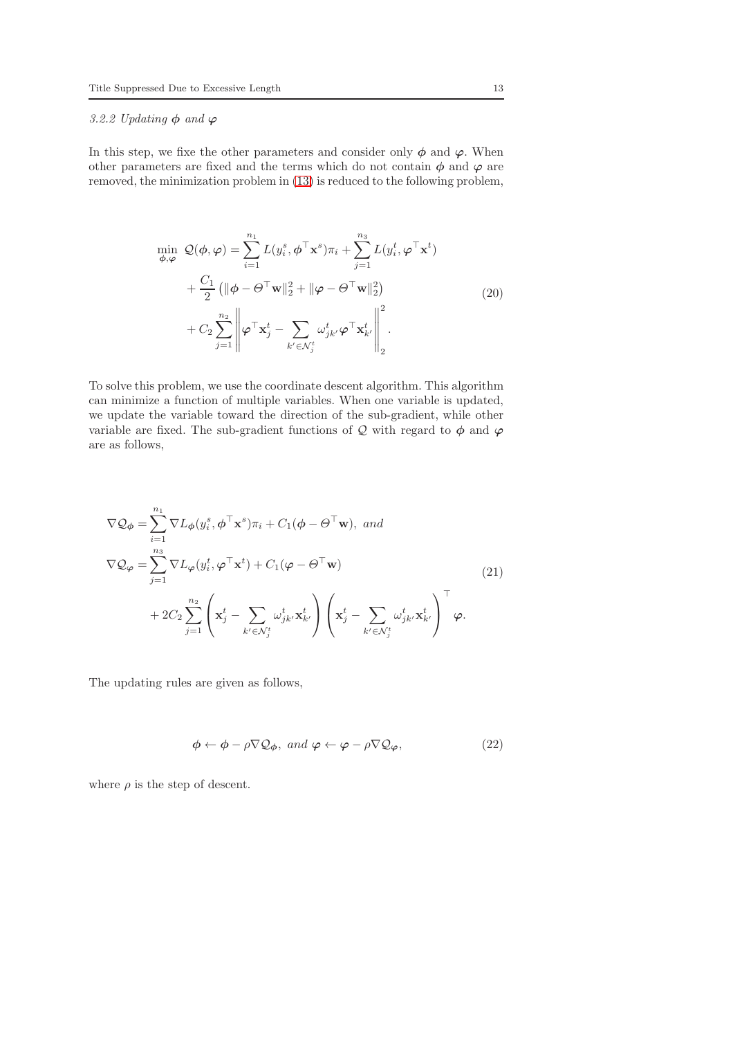# 3.2.2 Updating  $\phi$  and  $\varphi$

In this step, we fixe the other parameters and consider only  $\phi$  and  $\varphi$ . When other parameters are fixed and the terms which do not contain  $\phi$  and  $\varphi$  are removed, the minimization problem in [\(13\)](#page-10-1) is reduced to the following problem,

$$
\min_{\phi,\varphi} \mathcal{Q}(\phi,\varphi) = \sum_{i=1}^{n_1} L(y_i^s, \phi^\top \mathbf{x}^s) \pi_i + \sum_{j=1}^{n_3} L(y_i^t, \varphi^\top \mathbf{x}^t) \n+ \frac{C_1}{2} (\|\phi - \Theta^\top \mathbf{w}\|_2^2 + \|\varphi - \Theta^\top \mathbf{w}\|_2^2) \n+ C_2 \sum_{j=1}^{n_2} \left\| \varphi^\top \mathbf{x}_j^t - \sum_{k' \in \mathcal{N}_j^t} \omega_{jk'}^t \varphi^\top \mathbf{x}_{k'}^t \right\|_2^2.
$$
\n(20)

To solve this problem, we use the coordinate descent algorithm. This algorithm can minimize a function of multiple variables. When one variable is updated, we update the variable toward the direction of the sub-gradient, while other variable are fixed. The sub-gradient functions of  $\mathcal Q$  with regard to  $\phi$  and  $\varphi$ are as follows,

$$
\nabla \mathcal{Q}_{\phi} = \sum_{i=1}^{n_1} \nabla L_{\phi}(y_i^s, \phi^{\top} \mathbf{x}^s) \pi_i + C_1(\phi - \Theta^{\top} \mathbf{w}), \text{ and}
$$
  
\n
$$
\nabla \mathcal{Q}_{\phi} = \sum_{j=1}^{n_3} \nabla L_{\phi}(y_i^t, \phi^{\top} \mathbf{x}^t) + C_1(\phi - \Theta^{\top} \mathbf{w})
$$
\n
$$
+ 2C_2 \sum_{j=1}^{n_2} \left( \mathbf{x}_j^t - \sum_{k' \in \mathcal{N}_j^t} \omega_{jk'}^t \mathbf{x}_{k'}^t \right) \left( \mathbf{x}_j^t - \sum_{k' \in \mathcal{N}_j^t} \omega_{jk'}^t \mathbf{x}_{k'}^t \right)^{\top} \phi.
$$
\n(21)

<span id="page-12-0"></span>The updating rules are given as follows,

$$
\phi \leftarrow \phi - \rho \nabla \mathcal{Q}_{\phi}, \text{ and } \varphi \leftarrow \varphi - \rho \nabla \mathcal{Q}_{\varphi}, \tag{22}
$$

where  $\rho$  is the step of descent.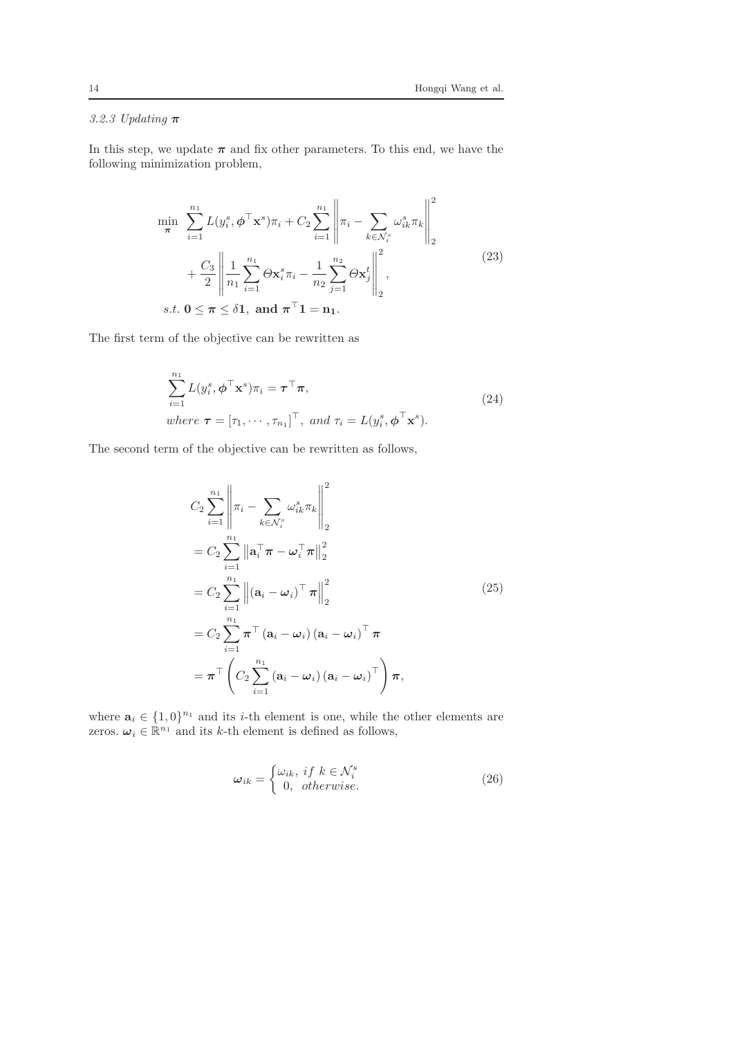# 3.2.3 Updating  $\pi$

<span id="page-13-2"></span>In this step, we update  $\pi$  and fix other parameters. To this end, we have the following minimization problem,

$$
\min_{\pi} \sum_{i=1}^{n_1} L(y_i^s, \phi^{\top} \mathbf{x}^s) \pi_i + C_2 \sum_{i=1}^{n_1} \left\| \pi_i - \sum_{k \in \mathcal{N}_i^s} \omega_{ik}^s \pi_k \right\|_2^2
$$
\n
$$
+ \frac{C_3}{2} \left\| \frac{1}{n_1} \sum_{i=1}^{n_1} \Theta \mathbf{x}_i^s \pi_i - \frac{1}{n_2} \sum_{j=1}^{n_2} \Theta \mathbf{x}_j^t \right\|_2^2,
$$
\n
$$
s.t. \ \mathbf{0} \le \pi \le \delta \mathbf{1}, \text{ and } \pi^{\top} \mathbf{1} = \mathbf{n_1}.
$$
\n
$$
(23)
$$

<span id="page-13-0"></span>The first term of the objective can be rewritten as

$$
\sum_{i=1}^{n_1} L(y_i^s, \phi^\top \mathbf{x}^s) \pi_i = \boldsymbol{\tau}^\top \boldsymbol{\pi},
$$
  
where  $\boldsymbol{\tau} = [\tau_1, \cdots, \tau_{n_1}]^\top$ , and  $\tau_i = L(y_i^s, \phi^\top \mathbf{x}^s)$ . (24)

<span id="page-13-1"></span>The second term of the objective can be rewritten as follows,

$$
C_{2} \sum_{i=1}^{n_{1}} \left\| \pi_{i} - \sum_{k \in \mathcal{N}_{i}^{s}} \omega_{ik}^{s} \pi_{k} \right\|_{2}^{2}
$$
  
\n
$$
= C_{2} \sum_{i=1}^{n_{1}} \left\| \mathbf{a}_{i}^{\top} \pi - \omega_{i}^{\top} \pi \right\|_{2}^{2}
$$
  
\n
$$
= C_{2} \sum_{i=1}^{n_{1}} \left\| (\mathbf{a}_{i} - \omega_{i})^{\top} \pi \right\|_{2}^{2}
$$
  
\n
$$
= C_{2} \sum_{i=1}^{n_{1}} \pi^{\top} (\mathbf{a}_{i} - \omega_{i}) (\mathbf{a}_{i} - \omega_{i})^{\top} \pi
$$
  
\n
$$
= \pi^{\top} \left( C_{2} \sum_{i=1}^{n_{1}} (\mathbf{a}_{i} - \omega_{i}) (\mathbf{a}_{i} - \omega_{i})^{\top} \pi \right)
$$
  
\n(25)

where  $a_i \in \{1,0\}^{n_1}$  and its *i*-th element is one, while the other elements are zeros.  $\boldsymbol{\omega}_i \in \mathbb{R}^{n_1}$  and its k-th element is defined as follows,

$$
\omega_{ik} = \begin{cases} \omega_{ik}, \; if \; k \in \mathcal{N}_i^s \\ 0, \; otherwise. \end{cases} \tag{26}
$$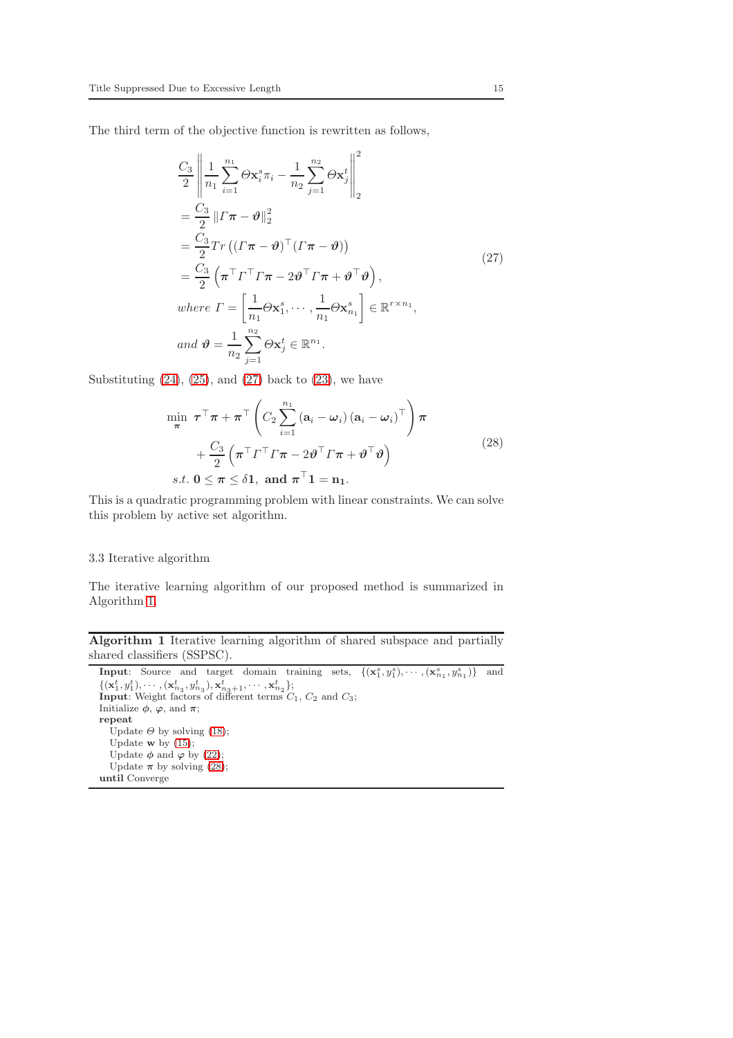<span id="page-14-0"></span>The third term of the objective function is rewritten as follows,

$$
\frac{C_3}{2} \left\| \frac{1}{n_1} \sum_{i=1}^{n_1} \Theta \mathbf{x}_i^s \pi_i - \frac{1}{n_2} \sum_{j=1}^{n_2} \Theta \mathbf{x}_j^t \right\|_2^2
$$
\n
$$
= \frac{C_3}{2} \left\| \boldsymbol{\Gamma} \boldsymbol{\pi} - \boldsymbol{\vartheta} \right\|_2^2
$$
\n
$$
= \frac{C_3}{2} \boldsymbol{T} \boldsymbol{r} \left( (\boldsymbol{\Gamma} \boldsymbol{\pi} - \boldsymbol{\vartheta})^\top (\boldsymbol{\Gamma} \boldsymbol{\pi} - \boldsymbol{\vartheta}) \right)
$$
\n
$$
= \frac{C_3}{2} \left( \boldsymbol{\pi}^\top \boldsymbol{\Gamma}^\top \boldsymbol{\Gamma} \boldsymbol{\pi} - 2 \boldsymbol{\vartheta}^\top \boldsymbol{\Gamma} \boldsymbol{\pi} + \boldsymbol{\vartheta}^\top \boldsymbol{\vartheta} \right),
$$
\nwhere  $\boldsymbol{\Gamma} = \left[ \frac{1}{n_1} \Theta \mathbf{x}_1^s, \cdots, \frac{1}{n_1} \Theta \mathbf{x}_{n_1}^s \right] \in \mathbb{R}^{r \times n_1},$   
\nand  $\boldsymbol{\vartheta} = \frac{1}{n_2} \sum_{j=1}^{n_2} \Theta \mathbf{x}_j^t \in \mathbb{R}^{n_1}.$ \n
$$
(27)
$$

<span id="page-14-2"></span>Substituting  $(24)$ ,  $(25)$ , and  $(27)$  back to  $(23)$ , we have

$$
\min_{\boldsymbol{\pi}} \ \boldsymbol{\tau}^{\top} \boldsymbol{\pi} + \boldsymbol{\pi}^{\top} \left( C_2 \sum_{i=1}^{n_1} \left( \mathbf{a}_i - \boldsymbol{\omega}_i \right) \left( \mathbf{a}_i - \boldsymbol{\omega}_i \right)^{\top} \right) \boldsymbol{\pi} \n+ \frac{C_3}{2} \left( \boldsymbol{\pi}^{\top} \boldsymbol{\Gamma}^{\top} \boldsymbol{\Gamma} \boldsymbol{\pi} - 2 \boldsymbol{\vartheta}^{\top} \boldsymbol{\Gamma} \boldsymbol{\pi} + \boldsymbol{\vartheta}^{\top} \boldsymbol{\vartheta} \right) \ns.t. \ \mathbf{0} \leq \boldsymbol{\pi} \leq \delta \mathbf{1}, \text{ and } \boldsymbol{\pi}^{\top} \mathbf{1} = \mathbf{n}_1.
$$
\n(28)

This is a quadratic programming problem with linear constraints. We can solve this problem by active set algorithm.

# 3.3 Iterative algorithm

The iterative learning algorithm of our proposed method is summarized in Algorithm [1.](#page-14-1)

<span id="page-14-1"></span>Algorithm 1 Iterative learning algorithm of shared subspace and partially shared classifiers (SSPSC).

```
Input: Source and target domain training sets, \{(\mathbf{x}_1^s, y_1^s), \cdots, (\mathbf{x}_{n_1}^s, y_{n_1}^s)\}\ and
\{(\mathbf{x}^t_1, y^t_1), \cdots, (\mathbf{x}^t_{n_3}, y^t_{n_3}), \mathbf{x}^t_{n_3+1}, \cdots, \mathbf{x}^t_{n_2}\};Input: Weight factors of different terms C_1, C_2 and C_3;
Initialize \phi, \varphi, and \pi;
repeat
  Update \Theta (18);
   Update \bf{w} (15);
  Update \phi and \varphi (22);
  Update \pi (28);
until Converge
```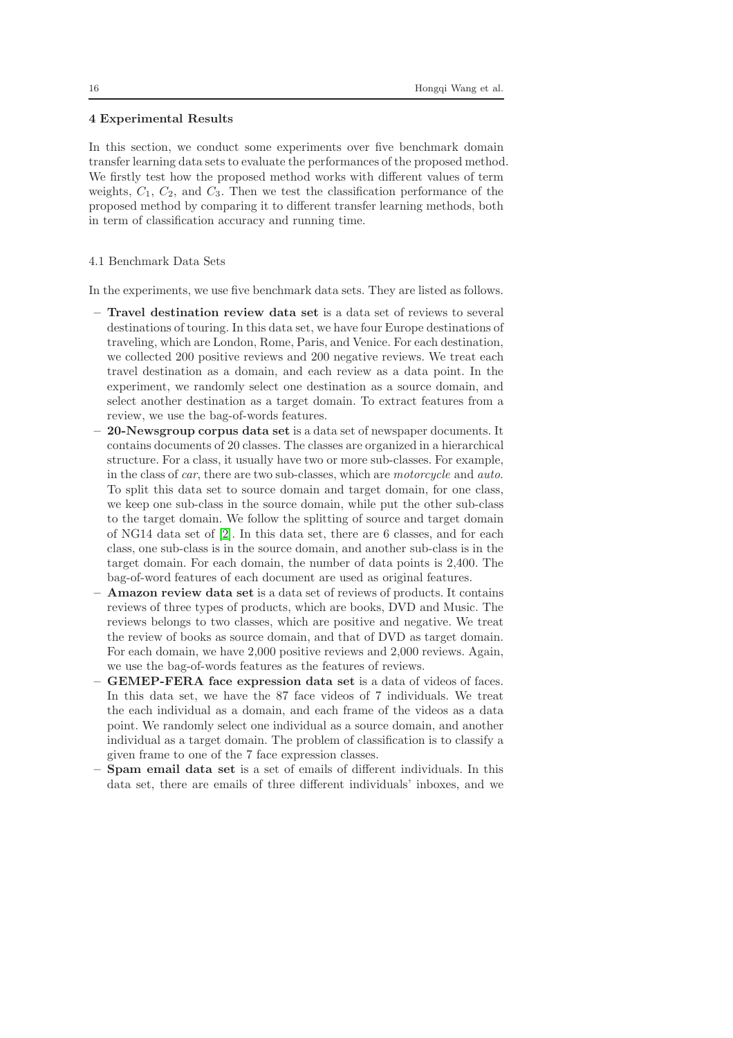## <span id="page-15-0"></span>4 Experimental Results

In this section, we conduct some experiments over five benchmark domain transfer learning data sets to evaluate the performances of the proposed method. We firstly test how the proposed method works with different values of term weights,  $C_1$ ,  $C_2$ , and  $C_3$ . Then we test the classification performance of the proposed method by comparing it to different transfer learning methods, both in term of classification accuracy and running time.

### 4.1 Benchmark Data Sets

In the experiments, we use five benchmark data sets. They are listed as follows.

- Travel destination review data set is a data set of reviews to several destinations of touring. In this data set, we have four Europe destinations of traveling, which are London, Rome, Paris, and Venice. For each destination, we collected 200 positive reviews and 200 negative reviews. We treat each travel destination as a domain, and each review as a data point. In the experiment, we randomly select one destination as a source domain, and select another destination as a target domain. To extract features from a review, we use the bag-of-words features.
- 20-Newsgroup corpus data set is a data set of newspaper documents. It contains documents of 20 classes. The classes are organized in a hierarchical structure. For a class, it usually have two or more sub-classes. For example, in the class of car, there are two sub-classes, which are motorcycle and auto. To split this data set to source domain and target domain, for one class, we keep one sub-class in the source domain, while put the other sub-class to the target domain. We follow the splitting of source and target domain of NG14 data set of [\[2\]](#page-19-0). In this data set, there are 6 classes, and for each class, one sub-class is in the source domain, and another sub-class is in the target domain. For each domain, the number of data points is 2,400. The bag-of-word features of each document are used as original features.
- Amazon review data set is a data set of reviews of products. It contains reviews of three types of products, which are books, DVD and Music. The reviews belongs to two classes, which are positive and negative. We treat the review of books as source domain, and that of DVD as target domain. For each domain, we have 2,000 positive reviews and 2,000 reviews. Again, we use the bag-of-words features as the features of reviews.
- GEMEP-FERA face expression data set is a data of videos of faces. In this data set, we have the 87 face videos of 7 individuals. We treat the each individual as a domain, and each frame of the videos as a data point. We randomly select one individual as a source domain, and another individual as a target domain. The problem of classification is to classify a given frame to one of the 7 face expression classes.
- Spam email data set is a set of emails of different individuals. In this data set, there are emails of three different individuals' inboxes, and we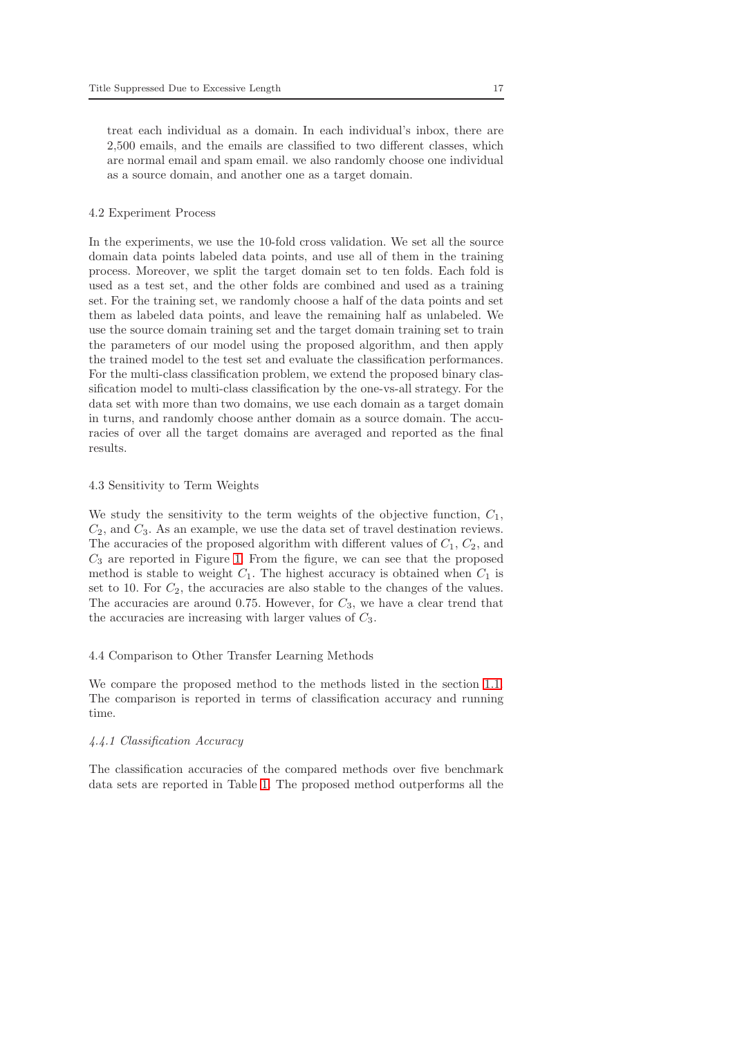treat each individual as a domain. In each individual's inbox, there are 2,500 emails, and the emails are classified to two different classes, which are normal email and spam email. we also randomly choose one individual as a source domain, and another one as a target domain.

### 4.2 Experiment Process

In the experiments, we use the 10-fold cross validation. We set all the source domain data points labeled data points, and use all of them in the training process. Moreover, we split the target domain set to ten folds. Each fold is used as a test set, and the other folds are combined and used as a training set. For the training set, we randomly choose a half of the data points and set them as labeled data points, and leave the remaining half as unlabeled. We use the source domain training set and the target domain training set to train the parameters of our model using the proposed algorithm, and then apply the trained model to the test set and evaluate the classification performances. For the multi-class classification problem, we extend the proposed binary classification model to multi-class classification by the one-vs-all strategy. For the data set with more than two domains, we use each domain as a target domain in turns, and randomly choose anther domain as a source domain. The accuracies of over all the target domains are averaged and reported as the final results.

### 4.3 Sensitivity to Term Weights

We study the sensitivity to the term weights of the objective function,  $C_1$ ,  $C_2$ , and  $C_3$ . As an example, we use the data set of travel destination reviews. The accuracies of the proposed algorithm with different values of  $C_1$ ,  $C_2$ , and  $C_3$  are reported in Figure [1.](#page-17-0) From the figure, we can see that the proposed method is stable to weight  $C_1$ . The highest accuracy is obtained when  $C_1$  is set to 10. For  $C_2$ , the accuracies are also stable to the changes of the values. The accuracies are around 0.75. However, for  $C_3$ , we have a clear trend that the accuracies are increasing with larger values of  $C_3$ .

### 4.4 Comparison to Other Transfer Learning Methods

We compare the proposed method to the methods listed in the section [1.1.](#page-1-0) The comparison is reported in terms of classification accuracy and running time.

# 4.4.1 Classification Accuracy

The classification accuracies of the compared methods over five benchmark data sets are reported in Table [1.](#page-18-1) The proposed method outperforms all the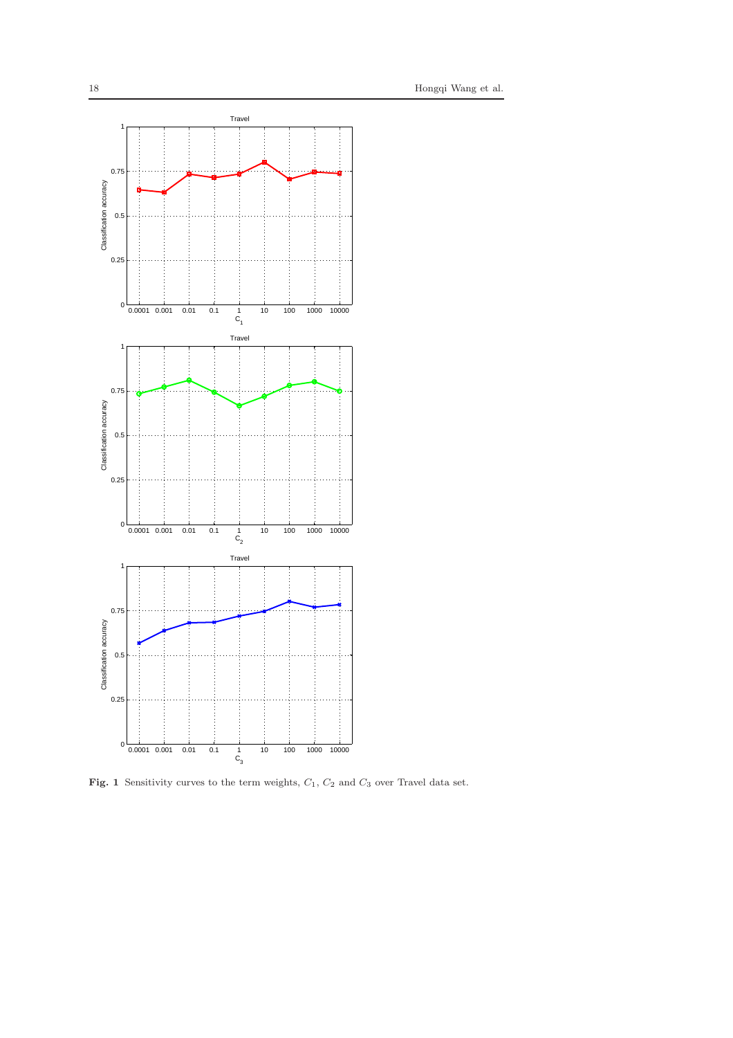

<span id="page-17-0"></span>Fig. 1 Sensitivity curves to the term weights,  $C_1$ ,  $C_2$  and  $C_3$  over Travel data set.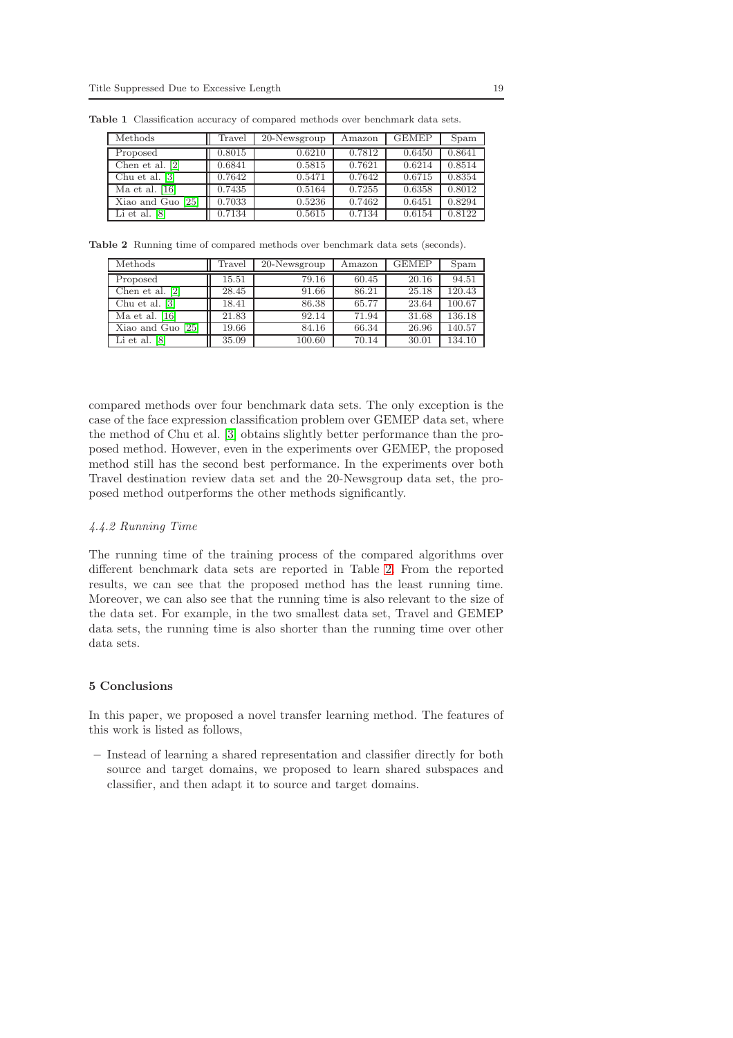<span id="page-18-1"></span>

| Methods                          | Travel | 20-Newsgroup | Amazon | <b>GEMEP</b> | Spam   |
|----------------------------------|--------|--------------|--------|--------------|--------|
| Proposed                         | 0.8015 | 0.6210       | 0.7812 | 0.6450       | 0.8641 |
| $\lceil 2 \rceil$<br>Chen et al. | 0.6841 | 0.5815       | 0.7621 | 0.6214       | 0.8514 |
| Chu et al. $[3]$                 | 0.7642 | 0.5471       | 0.7642 | 0.6715       | 0.8354 |
| [16]<br>Ma et al.                | 0.7435 | 0.5164       | 0.7255 | 0.6358       | 0.8012 |
| Xiao and Guo<br>[25]             | 0.7033 | 0.5236       | 0.7462 | 0.6451       | 0.8294 |
| [8]<br>Li et al.                 | 0.7134 | 0.5615       | 0.7134 | 0.6154       | 0.8122 |

Table 1 Classification accuracy of compared methods over benchmark data sets.

Table 2 Running time of compared methods over benchmark data sets (seconds).

<span id="page-18-2"></span>

| Methods                          | Travel | 20-Newsgroup | Amazon | <b>GEMEP</b> | Spam   |
|----------------------------------|--------|--------------|--------|--------------|--------|
| Proposed                         | 15.51  | 79.16        | 60.45  | 20.16        | 94.51  |
| $\lceil 2 \rceil$<br>Chen et al. | 28.45  | 91.66        | 86.21  | 25.18        | 120.43 |
| Chu et al. [3]                   | 18.41  | 86.38        | 65.77  | 23.64        | 100.67 |
| Ma et al. $[16]$                 | 21.83  | 92.14        | 71.94  | 31.68        | 136.18 |
| Xiao and Guo [25]                | 19.66  | 84.16        | 66.34  | 26.96        | 140.57 |
| Li et al. $[8]$                  | 35.09  | 100.60       | 70.14  | 30.01        | 134.10 |

compared methods over four benchmark data sets. The only exception is the case of the face expression classification problem over GEMEP data set, where the method of Chu et al. [\[3\]](#page-19-1) obtains slightly better performance than the proposed method. However, even in the experiments over GEMEP, the proposed method still has the second best performance. In the experiments over both Travel destination review data set and the 20-Newsgroup data set, the proposed method outperforms the other methods significantly.

## 4.4.2 Running Time

The running time of the training process of the compared algorithms over different benchmark data sets are reported in Table [2.](#page-18-2) From the reported results, we can see that the proposed method has the least running time. Moreover, we can also see that the running time is also relevant to the size of the data set. For example, in the two smallest data set, Travel and GEMEP data sets, the running time is also shorter than the running time over other data sets.

# <span id="page-18-0"></span>5 Conclusions

In this paper, we proposed a novel transfer learning method. The features of this work is listed as follows,

– Instead of learning a shared representation and classifier directly for both source and target domains, we proposed to learn shared subspaces and classifier, and then adapt it to source and target domains.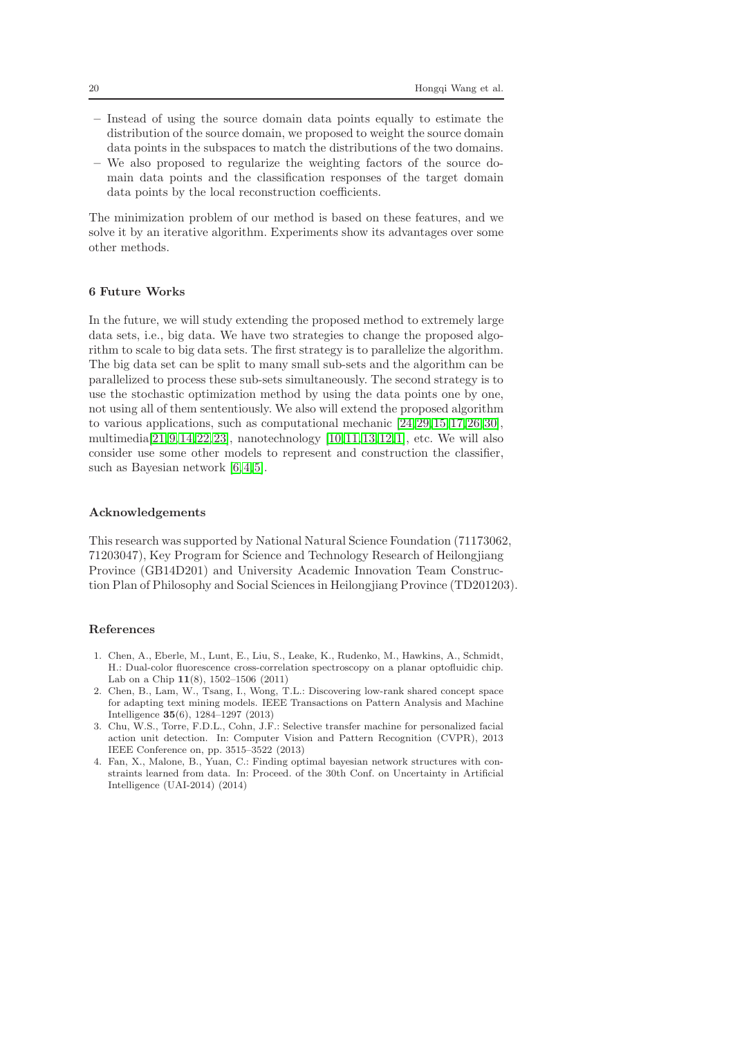- Instead of using the source domain data points equally to estimate the distribution of the source domain, we proposed to weight the source domain data points in the subspaces to match the distributions of the two domains.
- We also proposed to regularize the weighting factors of the source domain data points and the classification responses of the target domain data points by the local reconstruction coefficients.

The minimization problem of our method is based on these features, and we solve it by an iterative algorithm. Experiments show its advantages over some other methods.

# <span id="page-19-2"></span>6 Future Works

In the future, we will study extending the proposed method to extremely large data sets, i.e., big data. We have two strategies to change the proposed algorithm to scale to big data sets. The first strategy is to parallelize the algorithm. The big data set can be split to many small sub-sets and the algorithm can be parallelized to process these sub-sets simultaneously. The second strategy is to use the stochastic optimization method by using the data points one by one, not using all of them sententiously. We also will extend the proposed algorithm to various applications, such as computational mechanic [\[24,](#page-20-7)[29,](#page-21-2)[15,](#page-20-8)[17,](#page-20-9)[26,](#page-20-10)[30\]](#page-21-3), multimedia $[21, 9, 14, 22, 23]$  $[21, 9, 14, 22, 23]$  $[21, 9, 14, 22, 23]$  $[21, 9, 14, 22, 23]$  $[21, 9, 14, 22, 23]$  $[21, 9, 14, 22, 23]$  $[21, 9, 14, 22, 23]$  $[21, 9, 14, 22, 23]$  $[21, 9, 14, 22, 23]$ , nanotechnology  $[10, 11, 13, 12, 1]$  $[10, 11, 13, 12, 1]$  $[10, 11, 13, 12, 1]$  $[10, 11, 13, 12, 1]$  $[10, 11, 13, 12, 1]$  $[10, 11, 13, 12, 1]$  $[10, 11, 13, 12, 1]$  $[10, 11, 13, 12, 1]$ , etc. We will also consider use some other models to represent and construction the classifier, such as Bayesian network [\[6,](#page-20-20)[4,](#page-19-4)[5\]](#page-20-21).

### Acknowledgements

This research was supported by National Natural Science Foundation (71173062, 71203047), Key Program for Science and Technology Research of Heilongjiang Province (GB14D201) and University Academic Innovation Team Construction Plan of Philosophy and Social Sciences in Heilongjiang Province (TD201203).

## References

- <span id="page-19-3"></span>1. Chen, A., Eberle, M., Lunt, E., Liu, S., Leake, K., Rudenko, M., Hawkins, A., Schmidt, H.: Dual-color fluorescence cross-correlation spectroscopy on a planar optofluidic chip. Lab on a Chip 11(8), 1502–1506 (2011)
- <span id="page-19-0"></span>2. Chen, B., Lam, W., Tsang, I., Wong, T.L.: Discovering low-rank shared concept space for adapting text mining models. IEEE Transactions on Pattern Analysis and Machine Intelligence 35(6), 1284–1297 (2013)
- <span id="page-19-1"></span>3. Chu, W.S., Torre, F.D.L., Cohn, J.F.: Selective transfer machine for personalized facial action unit detection. In: Computer Vision and Pattern Recognition (CVPR), 2013 IEEE Conference on, pp. 3515–3522 (2013)
- <span id="page-19-4"></span>4. Fan, X., Malone, B., Yuan, C.: Finding optimal bayesian network structures with constraints learned from data. In: Proceed. of the 30th Conf. on Uncertainty in Artificial Intelligence (UAI-2014) (2014)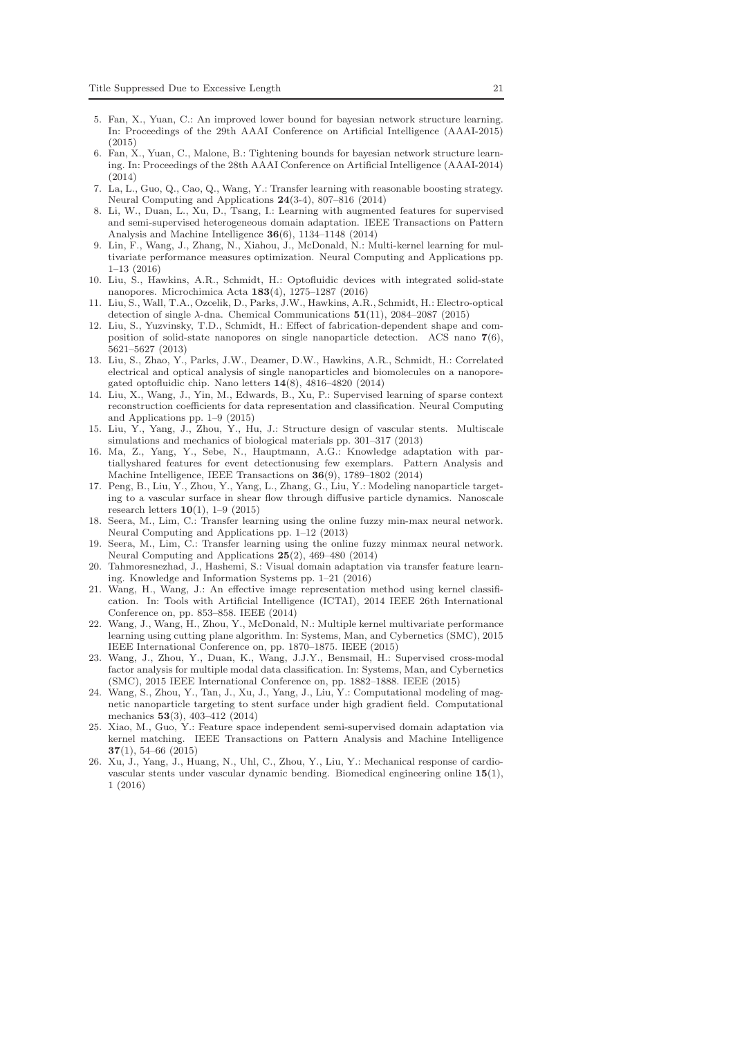- <span id="page-20-21"></span>5. Fan, X., Yuan, C.: An improved lower bound for bayesian network structure learning. In: Proceedings of the 29th AAAI Conference on Artificial Intelligence (AAAI-2015) (2015)
- <span id="page-20-20"></span>6. Fan, X., Yuan, C., Malone, B.: Tightening bounds for bayesian network structure learning. In: Proceedings of the 28th AAAI Conference on Artificial Intelligence (AAAI-2014) (2014)
- <span id="page-20-0"></span>7. La, L., Guo, Q., Cao, Q., Wang, Y.: Transfer learning with reasonable boosting strategy. Neural Computing and Applications 24(3-4), 807–816 (2014)
- <span id="page-20-6"></span>8. Li, W., Duan, L., Xu, D., Tsang, I.: Learning with augmented features for supervised and semi-supervised heterogeneous domain adaptation. IEEE Transactions on Pattern Analysis and Machine Intelligence 36(6), 1134–1148 (2014)
- <span id="page-20-12"></span>9. Lin, F., Wang, J., Zhang, N., Xiahou, J., McDonald, N.: Multi-kernel learning for multivariate performance measures optimization. Neural Computing and Applications pp. 1–13 (2016)
- <span id="page-20-16"></span>10. Liu, S., Hawkins, A.R., Schmidt, H.: Optofluidic devices with integrated solid-state nanopores. Microchimica Acta 183(4), 1275–1287 (2016)
- <span id="page-20-17"></span>11. Liu, S., Wall, T.A., Ozcelik, D., Parks, J.W., Hawkins, A.R., Schmidt, H.: Electro-optical detection of single  $\lambda$ -dna. Chemical Communications  $\mathbf{51}(11)$ , 2084–2087 (2015)
- <span id="page-20-19"></span>12. Liu, S., Yuzvinsky, T.D., Schmidt, H.: Effect of fabrication-dependent shape and composition of solid-state nanopores on single nanoparticle detection. ACS nano 7(6), 5621–5627 (2013)
- <span id="page-20-18"></span>13. Liu, S., Zhao, Y., Parks, J.W., Deamer, D.W., Hawkins, A.R., Schmidt, H.: Correlated electrical and optical analysis of single nanoparticles and biomolecules on a nanoporegated optofluidic chip. Nano letters 14(8), 4816–4820 (2014)
- <span id="page-20-13"></span>14. Liu, X., Wang, J., Yin, M., Edwards, B., Xu, P.: Supervised learning of sparse context reconstruction coefficients for data representation and classification. Neural Computing and Applications pp. 1–9 (2015)
- <span id="page-20-8"></span>15. Liu, Y., Yang, J., Zhou, Y., Hu, J.: Structure design of vascular stents. Multiscale simulations and mechanics of biological materials pp. 301–317 (2013)
- <span id="page-20-4"></span>16. Ma, Z., Yang, Y., Sebe, N., Hauptmann, A.G.: Knowledge adaptation with partiallyshared features for event detectionusing few exemplars. Pattern Analysis and Machine Intelligence, IEEE Transactions on 36(9), 1789–1802 (2014)
- <span id="page-20-9"></span>17. Peng, B., Liu, Y., Zhou, Y., Yang, L., Zhang, G., Liu, Y.: Modeling nanoparticle targeting to a vascular surface in shear flow through diffusive particle dynamics. Nanoscale research letters 10(1), 1–9 (2015)
- <span id="page-20-2"></span>18. Seera, M., Lim, C.: Transfer learning using the online fuzzy min-max neural network. Neural Computing and Applications pp. 1–12 (2013)
- <span id="page-20-1"></span>19. Seera, M., Lim, C.: Transfer learning using the online fuzzy minmax neural network. Neural Computing and Applications 25(2), 469–480 (2014)
- <span id="page-20-3"></span>20. Tahmoresnezhad, J., Hashemi, S.: Visual domain adaptation via transfer feature learning. Knowledge and Information Systems pp. 1–21 (2016)
- <span id="page-20-11"></span>21. Wang, H., Wang, J.: An effective image representation method using kernel classification. In: Tools with Artificial Intelligence (ICTAI), 2014 IEEE 26th International Conference on, pp. 853–858. IEEE (2014)
- <span id="page-20-14"></span>22. Wang, J., Wang, H., Zhou, Y., McDonald, N.: Multiple kernel multivariate performance learning using cutting plane algorithm. In: Systems, Man, and Cybernetics (SMC), 2015 IEEE International Conference on, pp. 1870–1875. IEEE (2015)
- <span id="page-20-15"></span>23. Wang, J., Zhou, Y., Duan, K., Wang, J.J.Y., Bensmail, H.: Supervised cross-modal factor analysis for multiple modal data classification. In: Systems, Man, and Cybernetics (SMC), 2015 IEEE International Conference on, pp. 1882–1888. IEEE (2015)
- <span id="page-20-7"></span>24. Wang, S., Zhou, Y., Tan, J., Xu, J., Yang, J., Liu, Y.: Computational modeling of magnetic nanoparticle targeting to stent surface under high gradient field. Computational mechanics 53(3), 403–412 (2014)
- <span id="page-20-5"></span>25. Xiao, M., Guo, Y.: Feature space independent semi-supervised domain adaptation via kernel matching. IEEE Transactions on Pattern Analysis and Machine Intelligence 37(1), 54–66 (2015)
- <span id="page-20-10"></span>26. Xu, J., Yang, J., Huang, N., Uhl, C., Zhou, Y., Liu, Y.: Mechanical response of cardiovascular stents under vascular dynamic bending. Biomedical engineering online 15(1), 1 (2016)